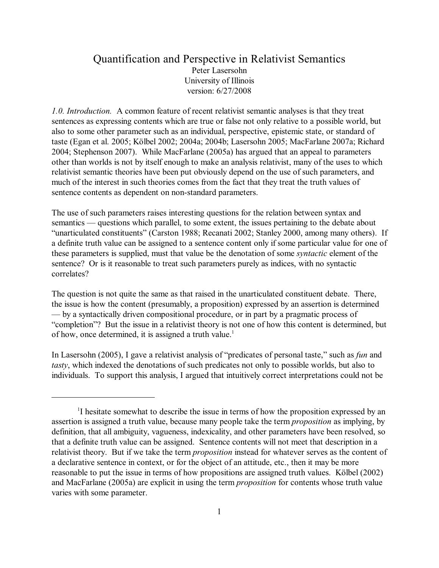## Quantification and Perspective in Relativist Semantics Peter Lasersohn University of Illinois version: 6/27/2008

*1.0. Introduction.* A common feature of recent relativist semantic analyses is that they treat sentences as expressing contents which are true or false not only relative to a possible world, but also to some other parameter such as an individual, perspective, epistemic state, or standard of taste (Egan et al. 2005; Kölbel 2002; 2004a; 2004b; Lasersohn 2005; MacFarlane 2007a; Richard 2004; Stephenson 2007). While MacFarlane (2005a) has argued that an appeal to parameters other than worlds is not by itself enough to make an analysis relativist, many of the uses to which relativist semantic theories have been put obviously depend on the use of such parameters, and much of the interest in such theories comes from the fact that they treat the truth values of sentence contents as dependent on non-standard parameters.

The use of such parameters raises interesting questions for the relation between syntax and semantics — questions which parallel, to some extent, the issues pertaining to the debate about "unarticulated constituents" (Carston 1988; Recanati 2002; Stanley 2000, among many others). If a definite truth value can be assigned to a sentence content only if some particular value for one of these parameters is supplied, must that value be the denotation of some *syntactic* element of the sentence? Or is it reasonable to treat such parameters purely as indices, with no syntactic correlates?

The question is not quite the same as that raised in the unarticulated constituent debate. There, the issue is how the content (presumably, a proposition) expressed by an assertion is determined — by a syntactically driven compositional procedure, or in part by a pragmatic process of "completion"? But the issue in a relativist theory is not one of how this content is determined, but of how, once determined, it is assigned a truth value.<sup>1</sup>

In Lasersohn (2005), I gave a relativist analysis of "predicates of personal taste," such as *fun* and *tasty*, which indexed the denotations of such predicates not only to possible worlds, but also to individuals. To support this analysis, I argued that intuitively correct interpretations could not be

 $\rm{^{1}}I$  hesitate somewhat to describe the issue in terms of how the proposition expressed by an assertion is assigned a truth value, because many people take the term *proposition* as implying, by definition, that all ambiguity, vagueness, indexicality, and other parameters have been resolved, so that a definite truth value can be assigned. Sentence contents will not meet that description in a relativist theory. But if we take the term *proposition* instead for whatever serves as the content of a declarative sentence in context, or for the object of an attitude, etc., then it may be more reasonable to put the issue in terms of how propositions are assigned truth values. Kölbel (2002) and MacFarlane (2005a) are explicit in using the term *proposition* for contents whose truth value varies with some parameter.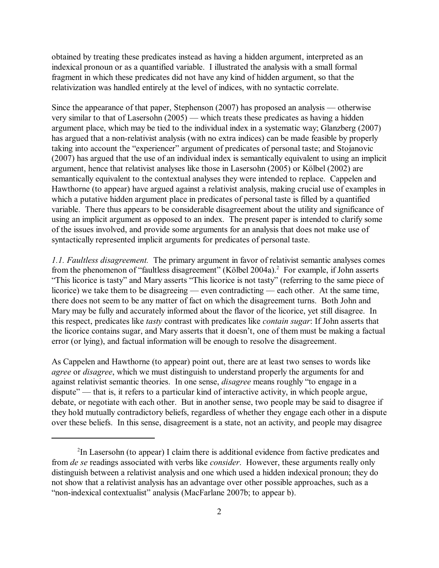obtained by treating these predicates instead as having a hidden argument, interpreted as an indexical pronoun or as a quantified variable. I illustrated the analysis with a small formal fragment in which these predicates did not have any kind of hidden argument, so that the relativization was handled entirely at the level of indices, with no syntactic correlate.

Since the appearance of that paper, Stephenson (2007) has proposed an analysis — otherwise very similar to that of Lasersohn (2005) — which treats these predicates as having a hidden argument place, which may be tied to the individual index in a systematic way; Glanzberg (2007) has argued that a non-relativist analysis (with no extra indices) can be made feasible by properly taking into account the "experiencer" argument of predicates of personal taste; and Stojanovic (2007) has argued that the use of an individual index is semantically equivalent to using an implicit argument, hence that relativist analyses like those in Lasersohn (2005) or Kölbel (2002) are semantically equivalent to the contextual analyses they were intended to replace. Cappelen and Hawthorne (to appear) have argued against a relativist analysis, making crucial use of examples in which a putative hidden argument place in predicates of personal taste is filled by a quantified variable. There thus appears to be considerable disagreement about the utility and significance of using an implicit argument as opposed to an index. The present paper is intended to clarify some of the issues involved, and provide some arguments for an analysis that does not make use of syntactically represented implicit arguments for predicates of personal taste.

*1.1. Faultless disagreement.* The primary argument in favor of relativist semantic analyses comes from the phenomenon of "faultless disagreement" (Kölbel 2004a).<sup>2</sup> For example, if John asserts "This licorice is tasty" and Mary asserts "This licorice is not tasty" (referring to the same piece of licorice) we take them to be disagreeing — even contradicting — each other. At the same time, there does not seem to be any matter of fact on which the disagreement turns. Both John and Mary may be fully and accurately informed about the flavor of the licorice, yet still disagree. In this respect, predicates like *tasty* contrast with predicates like *contain sugar*: If John asserts that the licorice contains sugar, and Mary asserts that it doesn't, one of them must be making a factual error (or lying), and factual information will be enough to resolve the disagreement.

As Cappelen and Hawthorne (to appear) point out, there are at least two senses to words like *agree* or *disagree*, which we must distinguish to understand properly the arguments for and against relativist semantic theories. In one sense, *disagree* means roughly "to engage in a dispute" — that is, it refers to a particular kind of interactive activity, in which people argue, debate, or negotiate with each other. But in another sense, two people may be said to disagree if they hold mutually contradictory beliefs, regardless of whether they engage each other in a dispute over these beliefs. In this sense, disagreement is a state, not an activity, and people may disagree

<sup>&</sup>lt;sup>2</sup>In Lasersohn (to appear) I claim there is additional evidence from factive predicates and from *de se* readings associated with verbs like *consider*. However, these arguments really only distinguish between a relativist analysis and one which used a hidden indexical pronoun; they do not show that a relativist analysis has an advantage over other possible approaches, such as a "non-indexical contextualist" analysis (MacFarlane 2007b; to appear b).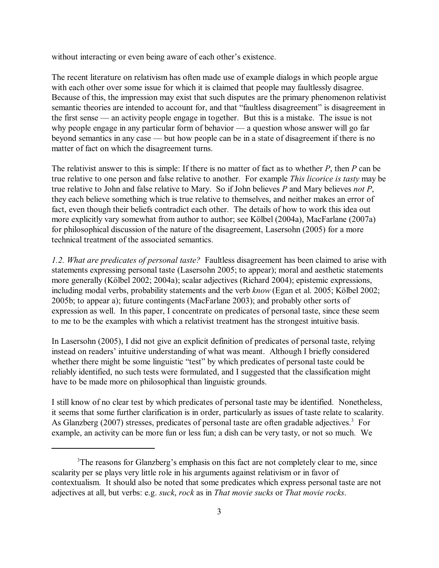without interacting or even being aware of each other's existence.

The recent literature on relativism has often made use of example dialogs in which people argue with each other over some issue for which it is claimed that people may faultlessly disagree. Because of this, the impression may exist that such disputes are the primary phenomenon relativist semantic theories are intended to account for, and that "faultless disagreement" is disagreement in the first sense — an activity people engage in together. But this is a mistake. The issue is not why people engage in any particular form of behavior — a question whose answer will go far beyond semantics in any case — but how people can be in a state of disagreement if there is no matter of fact on which the disagreement turns.

The relativist answer to this is simple: If there is no matter of fact as to whether *P*, then *P* can be true relative to one person and false relative to another. For example *This licorice is tasty* may be true relative to John and false relative to Mary. So if John believes *P* and Mary believes *not P*, they each believe something which is true relative to themselves, and neither makes an error of fact, even though their beliefs contradict each other. The details of how to work this idea out more explicitly vary somewhat from author to author; see Kölbel (2004a), MacFarlane (2007a) for philosophical discussion of the nature of the disagreement, Lasersohn (2005) for a more technical treatment of the associated semantics.

*1.2. What are predicates of personal taste?* Faultless disagreement has been claimed to arise with statements expressing personal taste (Lasersohn 2005; to appear); moral and aesthetic statements more generally (Kölbel 2002; 2004a); scalar adjectives (Richard 2004); epistemic expressions, including modal verbs, probability statements and the verb *know* (Egan et al. 2005; Kölbel 2002; 2005b; to appear a); future contingents (MacFarlane 2003); and probably other sorts of expression as well. In this paper, I concentrate on predicates of personal taste, since these seem to me to be the examples with which a relativist treatment has the strongest intuitive basis.

In Lasersohn (2005), I did not give an explicit definition of predicates of personal taste, relying instead on readers' intuitive understanding of what was meant. Although I briefly considered whether there might be some linguistic "test" by which predicates of personal taste could be reliably identified, no such tests were formulated, and I suggested that the classification might have to be made more on philosophical than linguistic grounds.

I still know of no clear test by which predicates of personal taste may be identified. Nonetheless, it seems that some further clarification is in order, particularly as issues of taste relate to scalarity. As Glanzberg (2007) stresses, predicates of personal taste are often gradable adjectives.<sup>3</sup> For example, an activity can be more fun or less fun; a dish can be very tasty, or not so much. We

<sup>&</sup>lt;sup>3</sup>The reasons for Glanzberg's emphasis on this fact are not completely clear to me, since scalarity per se plays very little role in his arguments against relativism or in favor of contextualism. It should also be noted that some predicates which express personal taste are not adjectives at all, but verbs: e.g. *suck*, *rock* as in *That movie sucks* or *That movie rocks*.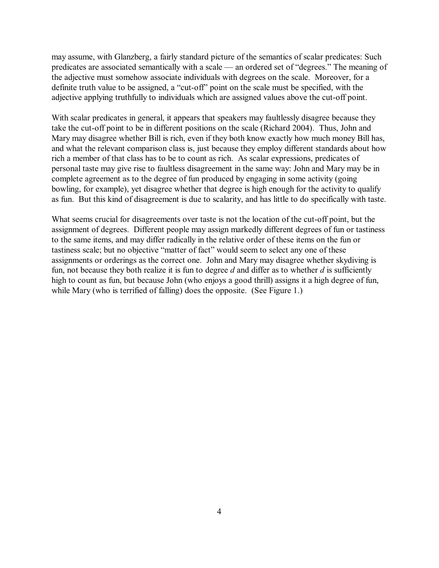may assume, with Glanzberg, a fairly standard picture of the semantics of scalar predicates: Such predicates are associated semantically with a scale — an ordered set of "degrees." The meaning of the adjective must somehow associate individuals with degrees on the scale. Moreover, for a definite truth value to be assigned, a "cut-off" point on the scale must be specified, with the adjective applying truthfully to individuals which are assigned values above the cut-off point.

With scalar predicates in general, it appears that speakers may faultlessly disagree because they take the cut-off point to be in different positions on the scale (Richard 2004). Thus, John and Mary may disagree whether Bill is rich, even if they both know exactly how much money Bill has, and what the relevant comparison class is, just because they employ different standards about how rich a member of that class has to be to count as rich. As scalar expressions, predicates of personal taste may give rise to faultless disagreement in the same way: John and Mary may be in complete agreement as to the degree of fun produced by engaging in some activity (going bowling, for example), yet disagree whether that degree is high enough for the activity to qualify as fun. But this kind of disagreement is due to scalarity, and has little to do specifically with taste.

What seems crucial for disagreements over taste is not the location of the cut-off point, but the assignment of degrees. Different people may assign markedly different degrees of fun or tastiness to the same items, and may differ radically in the relative order of these items on the fun or tastiness scale; but no objective "matter of fact" would seem to select any one of these assignments or orderings as the correct one. John and Mary may disagree whether skydiving is fun, not because they both realize it is fun to degree  $d$  and differ as to whether  $d$  is sufficiently high to count as fun, but because John (who enjoys a good thrill) assigns it a high degree of fun, while Mary (who is terrified of falling) does the opposite. (See Figure 1.)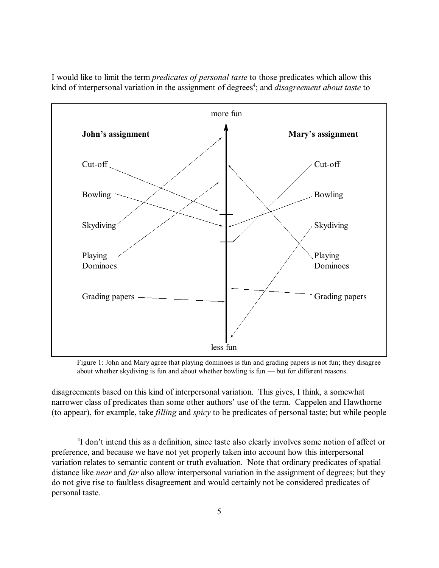more fun **John's assignment T Mary's assignment** Cut-off Cut-off Bowling  $\sim$  /  $\sim$  /  $\sim$  /  $\sim$  Bowling Skydiving Skydiving Skydiving Playing A Playing A Playing A Playing Dominoes Dominoes Dominoes Grading papers Grading papers less fun

I would like to limit the term *predicates of personal taste* to those predicates which allow this kind of interpersonal variation in the assignment of degrees<sup>4</sup>; and *disagreement about taste* to

Figure 1: John and Mary agree that playing dominoes is fun and grading papers is not fun; they disagree about whether skydiving is fun and about whether bowling is fun — but for different reasons.

disagreements based on this kind of interpersonal variation. This gives, I think, a somewhat narrower class of predicates than some other authors' use of the term. Cappelen and Hawthorne (to appear), for example, take *filling* and *spicy* to be predicates of personal taste; but while people

<sup>&</sup>lt;sup>4</sup>I don't intend this as a definition, since taste also clearly involves some notion of affect or preference, and because we have not yet properly taken into account how this interpersonal variation relates to semantic content or truth evaluation. Note that ordinary predicates of spatial distance like *near* and *far* also allow interpersonal variation in the assignment of degrees; but they do not give rise to faultless disagreement and would certainly not be considered predicates of personal taste.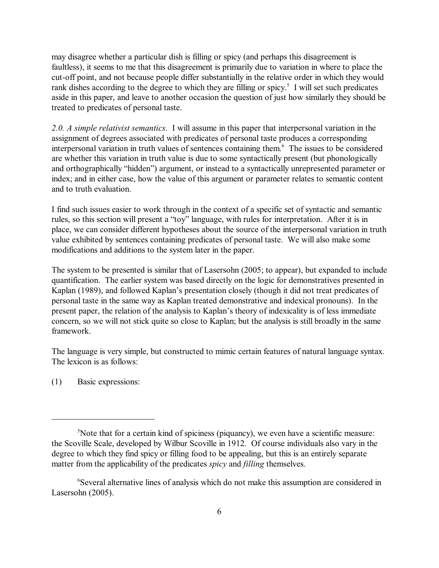may disagree whether a particular dish is filling or spicy (and perhaps this disagreement is faultless), it seems to me that this disagreement is primarily due to variation in where to place the cut-off point, and not because people differ substantially in the relative order in which they would rank dishes according to the degree to which they are filling or spicy.<sup>5</sup> I will set such predicates aside in this paper, and leave to another occasion the question of just how similarly they should be treated to predicates of personal taste.

*2.0. A simple relativist semantics.* I will assume in this paper that interpersonal variation in the assignment of degrees associated with predicates of personal taste produces a corresponding interpersonal variation in truth values of sentences containing them.<sup>6</sup> The issues to be considered are whether this variation in truth value is due to some syntactically present (but phonologically and orthographically "hidden") argument, or instead to a syntactically unrepresented parameter or index; and in either case, how the value of this argument or parameter relates to semantic content and to truth evaluation.

I find such issues easier to work through in the context of a specific set of syntactic and semantic rules, so this section will present a "toy" language, with rules for interpretation. After it is in place, we can consider different hypotheses about the source of the interpersonal variation in truth value exhibited by sentences containing predicates of personal taste. We will also make some modifications and additions to the system later in the paper.

The system to be presented is similar that of Lasersohn (2005; to appear), but expanded to include quantification. The earlier system was based directly on the logic for demonstratives presented in Kaplan (1989), and followed Kaplan's presentation closely (though it did not treat predicates of personal taste in the same way as Kaplan treated demonstrative and indexical pronouns). In the present paper, the relation of the analysis to Kaplan's theory of indexicality is of less immediate concern, so we will not stick quite so close to Kaplan; but the analysis is still broadly in the same framework.

The language is very simple, but constructed to mimic certain features of natural language syntax. The lexicon is as follows:

(1) Basic expressions:

 $5$ Note that for a certain kind of spiciness (piquancy), we even have a scientific measure: the Scoville Scale, developed by Wilbur Scoville in 1912. Of course individuals also vary in the degree to which they find spicy or filling food to be appealing, but this is an entirely separate matter from the applicability of the predicates *spicy* and *filling* themselves.

<sup>&</sup>lt;sup>6</sup>Several alternative lines of analysis which do not make this assumption are considered in Lasersohn (2005).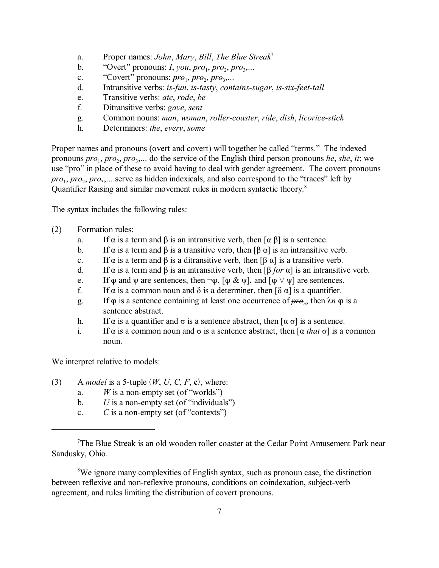- a. Proper names: *John*, *Mary*, *Bill*, *The Blue Streak*<sup>7</sup>
- b. "Overt" pronouns: *I*, *you*,  $pro_1$ ,  $pro_2$ ,  $pro_3$ ,...
- c. "Covert" pronouns:  $\vec{p}$ ro<sub>1</sub>,  $\vec{p}$ ro<sub>2</sub>,  $\vec{p}$ ro<sub>3</sub>,...
- d. Intransitive verbs: *is-fun*, *is-tasty*, *contains-sugar*, *is-six-feet-tall*
- e. Transitive verbs: *ate*, *rode*, *be*
- f. Ditransitive verbs: *gave*, *sent*
- g. Common nouns: *man*, *woman*, *roller-coaster*, *ride*, *dish*, *licorice-stick*
- h. Determiners: *the*, *every*, *some*

Proper names and pronouns (overt and covert) will together be called "terms." The indexed pronouns *pro*, *pro*, *pro*,... do the service of the English third person pronouns *he*, *she*, *it*; we use "pro" in place of these to avoid having to deal with gender agreement. The covert pronouns  *serve as hidden indexicals, and also correspond to the "traces" left by* Quantifier Raising and similar movement rules in modern syntactic theory.<sup>8</sup>

The syntax includes the following rules:

- (2) Formation rules:
	- a. If  $\alpha$  is a term and  $\beta$  is an intransitive verb, then  $\lceil \alpha \beta \rceil$  is a sentence.
	- b. If  $\alpha$  is a term and  $\beta$  is a transitive verb, then  $\lceil \beta \alpha \rceil$  is an intransitive verb.
	- c. If  $\alpha$  is a term and  $\beta$  is a ditransitive verb, then  $\lceil \beta \alpha \rceil$  is a transitive verb.
	- d. If  $\alpha$  is a term and  $\beta$  is an intransitive verb, then  $\lceil \beta$  *for*  $\alpha \rceil$  is an intransitive verb.
	- e. If  $\varphi$  and  $\psi$  are sentences, then  $\neg \varphi$ ,  $[\varphi \& \psi]$ , and  $[\varphi \lor \psi]$  are sentences.
	- f. If  $\alpha$  is a common noun and  $\delta$  is a determiner, then  $\lceil \delta \alpha \rceil$  is a quantifier.
	- g. If  $\varphi$  is a sentence containing at least one occurrence of  $pr\varphi_n$ , then  $\lambda n \varphi$  is a sentence abstract.
	- h. If  $\alpha$  is a quantifier and  $\sigma$  is a sentence abstract, then  $\lceil \alpha \sigma \rceil$  is a sentence.
	- i. If  $\alpha$  is a common noun and  $\sigma$  is a sentence abstract, then  $\lceil \alpha \cdot \text{that } \sigma \rceil$  is a common noun.

We interpret relative to models:

- (3) A *model* is a 5-tuple  $\langle W, U, C, F, \mathbf{c} \rangle$ , where:
	- a.  $W$  is a non-empty set (of "worlds")
	- b. *U* is a non-empty set (of "individuals")
	- c.  $C$  is a non-empty set (of "contexts")

<sup>8</sup>We ignore many complexities of English syntax, such as pronoun case, the distinction between reflexive and non-reflexive pronouns, conditions on coindexation, subject-verb agreement, and rules limiting the distribution of covert pronouns.

The Blue Streak is an old wooden roller coaster at the Cedar Point Amusement Park near Sandusky, Ohio.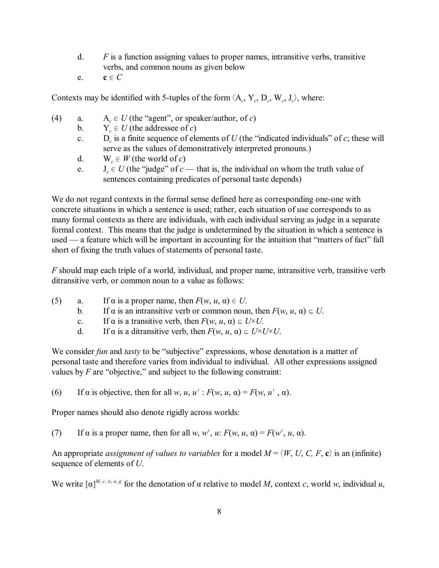- d. *F* is a function assigning values to proper names, intransitive verbs, transitive verbs, and common nouns as given below
- e.  $\mathbf{c} \in C$

Contexts may be identified with 5-tuples of the form  $\langle A_c, Y_c, D_c, W_c, J_c \rangle$ , where:

- (4) a.  $A_c \in U$  (the "agent", or speaker/author, of *c*)
	- b.  $Y_c \in U$  (the addressee of *c*)
	- c.  $D_c$  is a finite sequence of elements of *U* (the "indicated individuals" of *c*; these will serve as the values of demonstratively interpreted pronouns.)
	- d.  $W_c \in W$  (the world of *c*)
	- e.  $J_c \in U$  (the "judge" of  $c$  that is, the individual on whom the truth value of sentences containing predicates of personal taste depends)

We do not regard contexts in the formal sense defined here as corresponding one-one with concrete situations in which a sentence is used; rather, each situation of use corresponds to as many formal contexts as there are individuals, with each individual serving as judge in a separate formal context. This means that the judge is undetermined by the situation in which a sentence is used — a feature which will be important in accounting for the intuition that "matters of fact" fall short of fixing the truth values of statements of personal taste.

*F* should map each triple of a world, individual, and proper name, intransitive verb, transitive verb ditransitive verb, or common noun to a value as follows:

- (5) a. If  $\alpha$  is a proper name, then  $F(w, u, \alpha) \in U$ .
	- b. If  $\alpha$  is an intransitive verb or common noun, then  $F(w, u, \alpha) \subseteq U$ .
	- c. If  $\alpha$  is a transitive verb, then  $F(w, u, \alpha) \subseteq U \times U$ .
	- d. If  $\alpha$  is a ditransitive verb, then  $F(w, u, \alpha) \subseteq U \times U \times U$ .

We consider *fun* and *tasty* to be "subjective" expressions, whose denotation is a matter of personal taste and therefore varies from individual to individual. All other expressions assigned values by *F* are "objective," and subject to the following constraint:

(6) If  $\alpha$  is objective, then for all *w*, *u*, *u'* :  $F(w, u, \alpha) = F(w, u', \alpha)$ .

Proper names should also denote rigidly across worlds:

(7) If  $\alpha$  is a proper name, then for all *w*, *w'*, *u*:  $F(w, u, \alpha) = F(w', u, \alpha)$ .

An appropriate *assignment of values to variables* for a model  $M = \langle W, U, C, F, \mathbf{c} \rangle$  is an (infinite) sequence of elements of *U*.

We write  $[\alpha]^{M, c, w, u, g}$  for the denotation of  $\alpha$  relative to model M, context c, world w, individual u,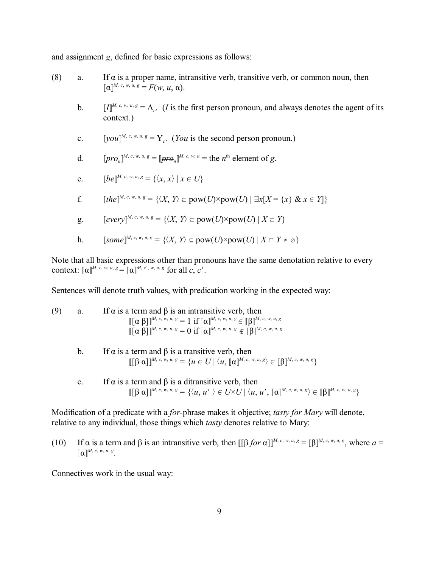and assignment *g*, defined for basic expressions as follows:

- (8) a. If  $\alpha$  is a proper name, intransitive verb, transitive verb, or common noun, then  $\llbracket \alpha \rrbracket^{M, c, w, u, g} = F(w, u, \alpha).$ 
	- b. *I*  $[I]^{\mathcal{M}, c, w, u, g} = A_c$ . *(I* is the first person pronoun, and always denotes the agent of its context.)
	- c. *you*<sup>*M, c, w, u, g* = Y<sub>*c*</sub>. (*You* is the second person pronoun.)</sup>
	- d.  $[pro_n]^{\mathcal{M}, c, w, u, g} = [pro_n]^{\mathcal{M}, c, w, u} = \text{the } n^{\text{th}} \text{ element of } g.$
	- e. *be*  $[be]^{M, c, w, u, g} = \{ \langle x, x \rangle \mid x \in U \}$
	- f. *the*  $\mathbb{I}^{M, c, w, u, g} = \{ \langle X, Y \rangle \subseteq \text{pow}(U) \times \text{pow}(U) \mid \exists x [X = \{x\} \& x \in Y] \}$
	- $g$ . *every*<sup>M, *c*, *w*, *u*,  $g = \{ \langle X, Y \rangle \subseteq \text{pow}(U) \times \text{pow}(U) | X \subseteq Y \}$ </sup>
	- h. *some*<sup> $M, c, w, u, g = \{ \langle X, Y \rangle \subseteq \text{pow}(U) \times \text{pow}(U) \mid X \cap Y \neq \emptyset \}$ </sup>

Note that all basic expressions other than pronouns have the same denotation relative to every context:  $[\![\alpha]\!]^{M, c, w, u, g} = [\![\alpha]\!]^{M, c', w, u, g}$  for all *c*, *c'*.

Sentences will denote truth values, with predication working in the expected way:

| (9) | a.             | If $\alpha$ is a term and $\beta$ is an intransitive verb, then<br>$\llbracket [\alpha \beta] \rrbracket^{M, c, w, u, g} = 1 \text{ if } \llbracket \alpha \rrbracket^{M, c, w, u, g} \in \llbracket \beta \rrbracket^{M, c, w, u, g}$<br>$\llbracket [\alpha \beta] \rrbracket^{M, c, w, u, g} = 0 \text{ if } \llbracket \alpha \rrbracket^{M, c, w, u, g} \notin \llbracket \beta \rrbracket^{M, c, w, u, g}$ |
|-----|----------------|------------------------------------------------------------------------------------------------------------------------------------------------------------------------------------------------------------------------------------------------------------------------------------------------------------------------------------------------------------------------------------------------------------------|
|     | b.             | If $\alpha$ is a term and $\beta$ is a transitive verb, then<br>$\llbracket \llbracket \beta \alpha \rrbracket \rrbracket^{M, c, w, u, g} = \{u \in U \mid \langle u, \llbracket \alpha \rrbracket^{M, c, w, u, g} \rangle \in \llbracket \beta \rrbracket^{M, c, w, u, g}$                                                                                                                                      |
|     | $\mathbf{c}$ . | If $\alpha$ is a term and $\beta$ is a ditransitive verb, then<br>$\llbracket [\beta \alpha] \rrbracket^{M,c,w,u,g} = \{ \langle u, u' \rangle \in U \times U \mid \langle u, u', \llbracket \alpha \rrbracket^{M,c,w,u,g} \rangle \in \llbracket \beta \rrbracket^{M,c,w,u,g} \}$                                                                                                                               |

Modification of a predicate with a *for*-phrase makes it objective; *tasty for Mary* will denote, relative to any individual, those things which *tasty* denotes relative to Mary:

(10) If  $\alpha$  is a term and  $\beta$  is an intransitive verb, then  $\left[\left[\beta \text{ for } \alpha\right]\right]^{M, c, w, u, g} = \left[\beta\right]^{M, c, w, a, g}$ , where  $a =$  $\llbracket \mathbf{\alpha} \rrbracket^{M, c, w, u, g}.$ 

Connectives work in the usual way: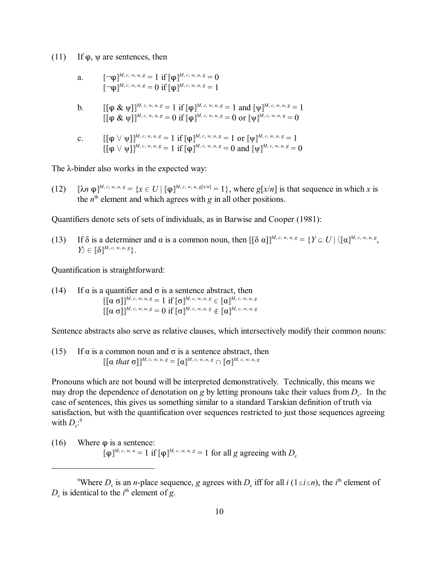(11) If  $\varphi$ ,  $\psi$  are sentences, then

| a.             | $[\neg \phi]^{M, c, w, u, g} = 1 \text{ if } [\phi]^{M, c, w, u, g} = 0$<br>$[\![\neg \phi\!]^{M,\,c,\,w,\,u,\,g} = 0 \text{ if } [\![\phi\!]]^{M,\,c,\,w,\,u,\,g} = 1$                                                                                                                                                                                     |
|----------------|-------------------------------------------------------------------------------------------------------------------------------------------------------------------------------------------------------------------------------------------------------------------------------------------------------------------------------------------------------------|
| b.             | $\llbracket [\phi \& \psi] \rrbracket^{M, c, w, u, g} = 1 \text{ if } \llbracket \phi \rrbracket^{M, c, w, u, g} = 1 \text{ and } \llbracket \psi \rrbracket^{M, c, w, u, g} = 1$<br>$\llbracket [\phi \& \psi]]^{M, c, w, u, g} = 0 \text{ if } \llbracket \phi \rrbracket^{M, c, w, u, g} = 0 \text{ or } \llbracket \psi \rrbracket^{M, c, w, u, g} = 0$ |
| $\mathbf{c}$ . | $\llbracket [\phi \vee \psi] \rrbracket^{M, c, w, u, g} = 1 \text{ if } \llbracket \phi \rrbracket^{M, c, w, u, g} = 1 \text{ or } \llbracket \psi \rrbracket^{M, c, w, u, g} = 1$<br>$\llbracket [\phi \vee \psi]]^{M,c,w,u,g} = 1 \text{ if } \llbracket \phi \rrbracket^{M,c,w,u,g} = 0 \text{ and } \llbracket \psi \rrbracket^{M,c,w,u,g} = 0$         |

The  $\lambda$ -binder also works in the expected way:

(12)  $\left[\lambda n \varphi\right]^{M,c,w,u,g} = \{x \in U \mid \left[\varphi\right]^{M,c,w,u,g[x/n]} = 1\}$ , where  $g[x/n]$  is that sequence in which x is the  $n<sup>th</sup>$  element and which agrees with *g* in all other positions.

Quantifiers denote sets of sets of individuals, as in Barwise and Cooper (1981):

(13) If  $\delta$  is a determiner and  $\alpha$  is a common noun, then  $\llbracket [\delta \alpha] \rrbracket^{M, c, w, u, g} = \{ Y \subseteq U \mid \langle [\alpha]^{M, c, w, u, g}, \rangle \}$  $Y\rangle \in \llbracket \delta \rrbracket^{M, c, w, u, g}$ .

Quantification is straightforward:

(14) If 
$$
\alpha
$$
 is a quantifier and  $\sigma$  is a sentence abstract, then  
\n
$$
[[\alpha \sigma]]^{M,c,w,u,g} = 1 \text{ if } [\sigma]^{M,c,w,u,g} \in [\alpha]^{M,c,w,u,g}
$$
\n
$$
[[\alpha \sigma]]^{M,c,w,u,g} = 0 \text{ if } [\sigma]^{M,c,w,u,g} \notin [\alpha]^{M,c,w,u,g}
$$

Sentence abstracts also serve as relative clauses, which intersectively modify their common nouns:

(15) If 
$$
\alpha
$$
 is a common noun and  $\sigma$  is a sentence abstract, then 
$$
[[\alpha \text{ that } \sigma]]^{M, c, w, u, g} = [\alpha]^{M, c, w, u, g} \cap [\sigma]^{M, c, w, u, g}
$$

Pronouns which are not bound will be interpreted demonstratively. Technically, this means we may drop the dependence of denotation on *g* by letting pronouns take their values from  $D_c$ . In the case of sentences, this gives us something similar to a standard Tarskian definition of truth via satisfaction, but with the quantification over sequences restricted to just those sequences agreeing with  $D_c$ :<sup>9</sup>

(16) Where  $\varphi$  is a sentence:  $[\![\varphi\]]^{M, c, w, u} = 1$  if  $[\![\varphi\]]^{M, c, w, u, g} = 1$  for all *g* agreeing with  $D_c$ 

<sup>9</sup>Where  $D_c$  is an *n*-place sequence, *g* agrees with  $D_c$  iff for all *i* ( $1 \le i \le n$ ), the *i*<sup>th</sup> element of  $D_c$  is identical to the *i*<sup>th</sup> element of *g*.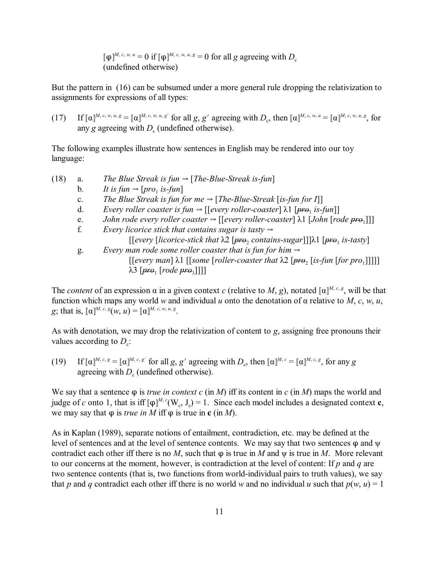$[\![\varphi\]]^{M, c, w, u} = 0$  if  $[\![\varphi\]]^{M, c, w, u, g} = 0$  for all *g* agreeing with  $D_c$ (undefined otherwise)

But the pattern in (16) can be subsumed under a more general rule dropping the relativization to assignments for expressions of all types:

(17) If  $\llbracket \alpha \rrbracket^{M,c,w,u,g} = \llbracket \alpha \rrbracket^{M,c,w,u,g}$  for all g, g' agreeing with  $D_c$ , then  $\llbracket \alpha \rrbracket^{M,c,w,u} = \llbracket \alpha \rrbracket^{M,c,w,u,g}$ , for any  $g$  agreeing with  $D<sub>c</sub>$  (undefined otherwise).

The following examples illustrate how sentences in English may be rendered into our toy language:

| (18) | a.             | The Blue Streak is fun $\Rightarrow$ [The-Blue-Streak is-fun]                                                                           |
|------|----------------|-----------------------------------------------------------------------------------------------------------------------------------------|
|      | b.             | It is fun $\Rightarrow$ [pro <sub>1</sub> is-fun]                                                                                       |
|      | $\mathbf{c}$ . | The Blue Streak is fun for me $\Rightarrow$ [The-Blue-Streak [is-fun for I]]                                                            |
|      | d.             | Every roller coaster is fun $\Rightarrow$ [[every roller-coaster] $\lambda$ 1 [ $\mu$ r $\theta$ <sub>1</sub> is-fun]]                  |
|      | e.             | <i>John rode every roller coaster</i> $\Rightarrow$ [[every roller-coaster] $\lambda$ 1 [ <i>John</i> [rode $pr\theta$ <sub>1</sub> ]]] |
|      | f.             | Every licorice stick that contains sugar is tasty $\Rightarrow$                                                                         |
|      |                | [[every [licorice-stick that $\lambda$ 2 [ $\mu$ r $\theta$ , contains-sugar]]] $\lambda$ 1 [ $\mu$ r $\theta$ <sub>1</sub> is-tasty]   |
|      | g.             | Every man rode some roller coaster that is fun for him $\Rightarrow$                                                                    |
|      |                | [[every man] $\lambda$ 1 [[some [roller-coaster that $\lambda$ 2 [ $\mu$ ro, [is-fun [for pro,]]]]]                                     |
|      |                | $\lambda$ 3 [ <i>pro</i> , [ <i>rode pro</i> ,]]]]                                                                                      |
|      |                |                                                                                                                                         |

The *content* of an expression  $\alpha$  in a given context *c* (relative to *M*, *g*), notated  $\lbrack \alpha \rbrack^{M,c,g}$ , will be that function which maps any world *w* and individual *u* onto the denotation of  $\alpha$  relative to *M*, *c*, *w*, *u*, *g*; that is,  $[\![\alpha]\!]^{M, c, g}(w, u) = [\![\alpha]\!]^{M, c, w, u, g}$ .

As with denotation, we may drop the relativization of content to *g*, assigning free pronouns their values according to  $D_{\rm c}$ :

(19) If  $[\alpha]^{M, c, g} = [\alpha]^{M, c, g'}$  for all *g*, *g*<sup>*'*</sup> agreeing with *D*<sub>c</sub>, then  $[\alpha]^{M, c} = [\alpha]^{M, c, g'}$ , for any *g* agreeing with  $D_{\rm c}$  (undefined otherwise).

We say that a sentence  $\varphi$  is *true in context c* (in *M*) iff its content in *c* (in *M*) maps the world and judge of *c* onto 1, that is iff  $[\phi]^{M, c}(W_c, J_c) = 1$ . Since each model includes a designated context **c**, we may say that  $\varphi$  is *true in M* iff  $\varphi$  is true in **c** (in *M*).

As in Kaplan (1989), separate notions of entailment, contradiction, etc. may be defined at the level of sentences and at the level of sentence contents. We may say that two sentences  $\varphi$  and  $\psi$ contradict each other iff there is no *M*, such that  $\varphi$  is true in *M* and  $\psi$  is true in *M*. More relevant to our concerns at the moment, however, is contradiction at the level of content: If *p* and *q* are two sentence contents (that is, two functions from world-individual pairs to truth values), we say that *p* and *q* contradict each other iff there is no world *w* and no individual *u* such that  $p(w, u) = 1$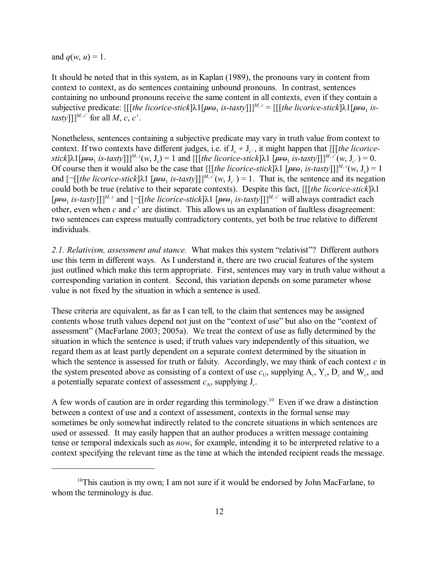and  $q(w, u) = 1$ .

It should be noted that in this system, as in Kaplan (1989), the pronouns vary in content from context to context, as do sentences containing unbound pronouns. In contrast, sentences containing no unbound pronouns receive the same content in all contexts, even if they contain a 1 1 subjective predicate: [[*the licorice-stick*]ë1[*pro is-tasty*]] = [[*the licorice-stick*]ë1[*pro is- <sup>M</sup>*, *<sup>c</sup>*  $\{tag{c, c', c'}$  for all *M*, *c*, *c'*.

Nonetheless, sentences containing a subjective predicate may vary in truth value from context to context. If two contexts have different judges, i.e. if  $J_c \neq J_{c'}$ , it might happen that  $[[[the] *licorice* \text{trick}[\lambda \mathbb{1}[\text{pre}_1 \text{ is } -\text{task}]\mathbb{1}]^{\mathbb{M}, c}(\omega, J_c) = 1$  and  $[[[\text{the} \text{ } \text{icoric-} \text{stick}]\lambda \mathbb{1} [\text{pre}_1 \text{ is } -\text{tasky}]\mathbb{1}]^{\mathbb{M}, c'}(\omega, J_{c'}) = 0.$ Of course then it would also be the case that  $[[[the *licorice-stick*]  $\lambda$ 1 [*pre*<sub>1</sub> *is-tasty*]]]<sup>*M*, *c*</sup>(*w*, *J*<sub>c</sub>) = 1$ and  $[\neg[[the \text{ }licorice-stick]\lambda1 \;[p r \varphi_1 \text{ is-tasty}]]^{\mathcal{M}, c'}(w, J_{c'}) = 1$ . That is, the sentence and its negation could both be true (relative to their separate contexts). Despite this fact,  $[[[the *licorice-stick*] \lambda]$  $[pre_1$  *is-tasty*]]]<sup>*M*, *c*</sup> and  $[\neg[[the] \text{ } licorice-stick]\lambda1 \text{ } [pre_1 \text{ } is-tasty]]$ <sup>*M*, *c'* will always contradict each</sup> other, even when *c* and  $c<sup>T</sup>$  are distinct. This allows us an explanation of faultless disagreement: two sentences can express mutually contradictory contents, yet both be true relative to different individuals.

*2.1. Relativism, assessment and stance.* What makes this system "relativist"? Different authors use this term in different ways. As I understand it, there are two crucial features of the system just outlined which make this term appropriate. First, sentences may vary in truth value without a corresponding variation in content. Second, this variation depends on some parameter whose value is not fixed by the situation in which a sentence is used.

These criteria are equivalent, as far as I can tell, to the claim that sentences may be assigned contents whose truth values depend not just on the "context of use" but also on the "context of assessment" (MacFarlane 2003; 2005a). We treat the context of use as fully determined by the situation in which the sentence is used; if truth values vary independently of this situation, we regard them as at least partly dependent on a separate context determined by the situation in which the sentence is assessed for truth or falsity. Accordingly, we may think of each context *c* in the system presented above as consisting of a context of use  $c_U$ , supplying  $A_c$ ,  $Y_c$ ,  $D_c$  and  $W_c$ , and a potentially separate context of assessment  $c_A$ , supplying  $J_c$ .

A few words of caution are in order regarding this terminology.<sup>10</sup> Even if we draw a distinction between a context of use and a context of assessment, contexts in the formal sense may sometimes be only somewhat indirectly related to the concrete situations in which sentences are used or assessed. It may easily happen that an author produces a written message containing tense or temporal indexicals such as *now*, for example, intending it to be interpreted relative to a context specifying the relevant time as the time at which the intended recipient reads the message.

 $10$ <sup>n</sup>This caution is my own; I am not sure if it would be endorsed by John MacFarlane, to whom the terminology is due.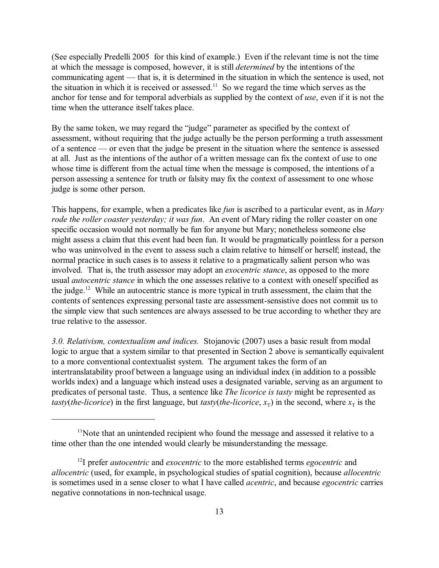(See especially Predelli 2005 for this kind of example.) Even if the relevant time is not the time at which the message is composed, however, it is still *determined* by the intentions of the communicating agent — that is, it is determined in the situation in which the sentence is used, not the situation in which it is received or assessed.<sup>11</sup> So we regard the time which serves as the anchor for tense and for temporal adverbials as supplied by the context of *use*, even if it is not the time when the utterance itself takes place.

By the same token, we may regard the "judge" parameter as specified by the context of assessment, without requiring that the judge actually be the person performing a truth assessment of a sentence — or even that the judge be present in the situation where the sentence is assessed at all. Just as the intentions of the author of a written message can fix the context of use to one whose time is different from the actual time when the message is composed, the intentions of a person assessing a sentence for truth or falsity may fix the context of assessment to one whose judge is some other person.

This happens, for example, when a predicates like *fun* is ascribed to a particular event, as in *Mary rode the roller coaster yesterday; it was fun*. An event of Mary riding the roller coaster on one specific occasion would not normally be fun for anyone but Mary; nonetheless someone else might assess a claim that this event had been fun. It would be pragmatically pointless for a person who was uninvolved in the event to assess such a claim relative to himself or herself; instead, the normal practice in such cases is to assess it relative to a pragmatically salient person who was involved. That is, the truth assessor may adopt an *exocentric stance*, as opposed to the more usual *autocentric stance* in which the one assesses relative to a context with oneself specified as the judge.<sup>12</sup> While an autocentric stance is more typical in truth assessment, the claim that the contents of sentences expressing personal taste are assessment-sensistive does not commit us to the simple view that such sentences are always assessed to be true according to whether they are true relative to the assessor.

*3.0. Relativism, contextualism and indices.* Stojanovic (2007) uses a basic result from modal logic to argue that a system similar to that presented in Section 2 above is semantically equivalent to a more conventional contextualist system. The argument takes the form of an intertranslatability proof between a language using an individual index (in addition to a possible worlds index) and a language which instead uses a designated variable, serving as an argument to predicates of personal taste. Thus, a sentence like *The licorice is tasty* might be represented as *tasty*(*the-licorice*) in the first language, but *tasty*(*the-licorice*,  $x<sub>r</sub>$ ) in the second, where  $x<sub>r</sub>$  is the

 $11$ Note that an unintended recipient who found the message and assessed it relative to a time other than the one intended would clearly be misunderstanding the message.

<sup>&</sup>lt;sup>12</sup>I prefer *autocentric* and *exocentric* to the more established terms *egocentric* and *allocentric* (used, for example, in psychological studies of spatial cognition), because *allocentric* is sometimes used in a sense closer to what I have called *acentric*, and because *egocentric* carries negative connotations in non-technical usage.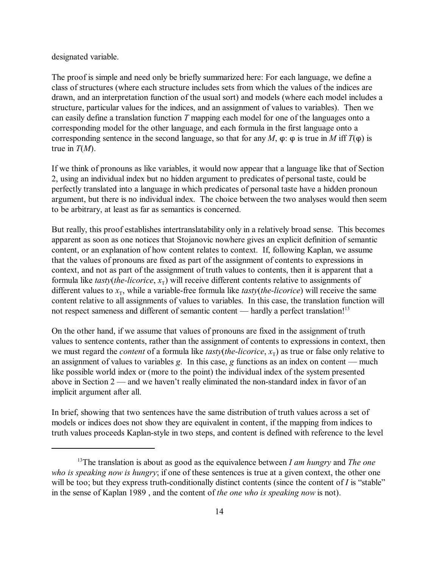## designated variable.

The proof is simple and need only be briefly summarized here: For each language, we define a class of structures (where each structure includes sets from which the values of the indices are drawn, and an interpretation function of the usual sort) and models (where each model includes a structure, particular values for the indices, and an assignment of values to variables). Then we can easily define a translation function *T* mapping each model for one of the languages onto a corresponding model for the other language, and each formula in the first language onto a corresponding sentence in the second language, so that for any *M*,  $\varphi$ :  $\varphi$  is true in *M* iff  $T(\varphi)$  is true in *T*(*M*).

If we think of pronouns as like variables, it would now appear that a language like that of Section 2, using an individual index but no hidden argument to predicates of personal taste, could be perfectly translated into a language in which predicates of personal taste have a hidden pronoun argument, but there is no individual index. The choice between the two analyses would then seem to be arbitrary, at least as far as semantics is concerned.

But really, this proof establishes intertranslatability only in a relatively broad sense. This becomes apparent as soon as one notices that Stojanovic nowhere gives an explicit definition of semantic content, or an explanation of how content relates to context. If, following Kaplan, we assume that the values of pronouns are fixed as part of the assignment of contents to expressions in context, and not as part of the assignment of truth values to contents, then it is apparent that a formula like *tasty*(*the-licorice*,  $x_T$ ) will receive different contents relative to assignments of different values to  $x_T$ , while a variable-free formula like *tasty*(*the-licorice*) will receive the same content relative to all assignments of values to variables. In this case, the translation function will not respect sameness and different of semantic content — hardly a perfect translation!<sup>13</sup>

On the other hand, if we assume that values of pronouns are fixed in the assignment of truth values to sentence contents, rather than the assignment of contents to expressions in context, then we must regard the *content* of a formula like *tasty*(*the-licorice*,  $x<sub>T</sub>$ ) as true or false only relative to an assignment of values to variables *g*. In this case, *g* functions as an index on content — much like possible world index or (more to the point) the individual index of the system presented above in Section 2 — and we haven't really eliminated the non-standard index in favor of an implicit argument after all.

In brief, showing that two sentences have the same distribution of truth values across a set of models or indices does not show they are equivalent in content, if the mapping from indices to truth values proceeds Kaplan-style in two steps, and content is defined with reference to the level

<sup>&</sup>lt;sup>13</sup>The translation is about as good as the equivalence between *I am hungry* and *The one who is speaking now is hungry*; if one of these sentences is true at a given context, the other one will be too; but they express truth-conditionally distinct contents (since the content of *I* is "stable" in the sense of Kaplan 1989 , and the content of *the one who is speaking now* is not).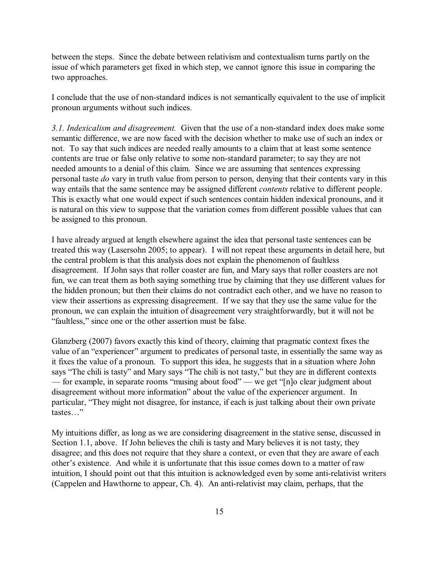between the steps. Since the debate between relativism and contextualism turns partly on the issue of which parameters get fixed in which step, we cannot ignore this issue in comparing the two approaches.

I conclude that the use of non-standard indices is not semantically equivalent to the use of implicit pronoun arguments without such indices.

*3.1. Indexicalism and disagreement.* Given that the use of a non-standard index does make some semantic difference, we are now faced with the decision whether to make use of such an index or not. To say that such indices are needed really amounts to a claim that at least some sentence contents are true or false only relative to some non-standard parameter; to say they are not needed amounts to a denial of this claim. Since we are assuming that sentences expressing personal taste *do* vary in truth value from person to person, denying that their contents vary in this way entails that the same sentence may be assigned different *contents* relative to different people. This is exactly what one would expect if such sentences contain hidden indexical pronouns, and it is natural on this view to suppose that the variation comes from different possible values that can be assigned to this pronoun.

I have already argued at length elsewhere against the idea that personal taste sentences can be treated this way (Lasersohn 2005; to appear). I will not repeat these arguments in detail here, but the central problem is that this analysis does not explain the phenomenon of faultless disagreement. If John says that roller coaster are fun, and Mary says that roller coasters are not fun, we can treat them as both saying something true by claiming that they use different values for the hidden pronoun; but then their claims do not contradict each other, and we have no reason to view their assertions as expressing disagreement. If we say that they use the same value for the pronoun, we can explain the intuition of disagreement very straightforwardly, but it will not be "faultless," since one or the other assertion must be false.

Glanzberg (2007) favors exactly this kind of theory, claiming that pragmatic context fixes the value of an "experiencer" argument to predicates of personal taste, in essentially the same way as it fixes the value of a pronoun. To support this idea, he suggests that in a situation where John says "The chili is tasty" and Mary says "The chili is not tasty," but they are in different contexts — for example, in separate rooms "musing about food" — we get "[n]o clear judgment about disagreement without more information" about the value of the experiencer argument. In particular, "They might not disagree, for instance, if each is just talking about their own private tastes…"

My intuitions differ, as long as we are considering disagreement in the stative sense, discussed in Section 1.1, above. If John believes the chili is tasty and Mary believes it is not tasty, they disagree; and this does not require that they share a context, or even that they are aware of each other's existence. And while it is unfortunate that this issue comes down to a matter of raw intuition, I should point out that this intuition is acknowledged even by some anti-relativist writers (Cappelen and Hawthorne to appear, Ch. 4). An anti-relativist may claim, perhaps, that the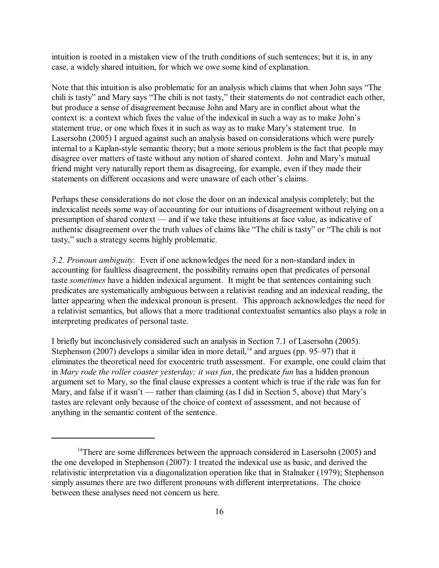intuition is rooted in a mistaken view of the truth conditions of such sentences; but it is, in any case, a widely shared intuition, for which we owe some kind of explanation.

Note that this intuition is also problematic for an analysis which claims that when John says "The chili is tasty" and Mary says "The chili is not tasty," their statements do not contradict each other, but produce a sense of disagreement because John and Mary are in conflict about what the context is: a context which fixes the value of the indexical in such a way as to make John's statement true, or one which fixes it in such as way as to make Mary's statement true. In Lasersohn (2005) I argued against such an analysis based on considerations which were purely internal to a Kaplan-style semantic theory; but a more serious problem is the fact that people may disagree over matters of taste without any notion of shared context. John and Mary's mutual friend might very naturally report them as disagreeing, for example, even if they made their statements on different occasions and were unaware of each other's claims.

Perhaps these considerations do not close the door on an indexical analysis completely; but the indexicalist needs some way of accounting for our intuitions of disagreement without relying on a presumption of shared context — and if we take these intuitions at face value, as indicative of authentic disagreement over the truth values of claims like "The chili is tasty" or "The chili is not tasty," such a strategy seems highly problematic.

*3.2. Pronoun ambiguity.* Even if one acknowledges the need for a non-standard index in accounting for faultless disagreement, the possibility remains open that predicates of personal taste *sometimes* have a hidden indexical argument. It might be that sentences containing such predicates are systematically ambiguous between a relativist reading and an indexical reading, the latter appearing when the indexical pronoun is present. This approach acknowledges the need for a relativist semantics, but allows that a more traditional contextualist semantics also plays a role in interpreting predicates of personal taste.

I briefly but inconclusively considered such an analysis in Section 7.1 of Lasersohn (2005). Stephenson (2007) develops a similar idea in more detail,  $14$  and argues (pp. 95–97) that it eliminates the theoretical need for exocentric truth assessment. For example, one could claim that in *Mary rode the roller coaster yesterday; it was fun*, the predicate *fun* has a hidden pronoun argument set to Mary, so the final clause expresses a content which is true if the ride was fun for Mary, and false if it wasn't — rather than claiming (as I did in Section 5, above) that Mary's tastes are relevant only because of the choice of context of assessment, and not because of anything in the semantic content of the sentence.

<sup>&</sup>lt;sup>14</sup>There are some differences between the approach considered in Lasersohn (2005) and the one developed in Stephenson (2007): I treated the indexical use as basic, and derived the relativistic interpretation via a diagonalization operation like that in Stalnaker (1979); Stephenson simply assumes there are two different pronouns with different interpretations. The choice between these analyses need not concern us here.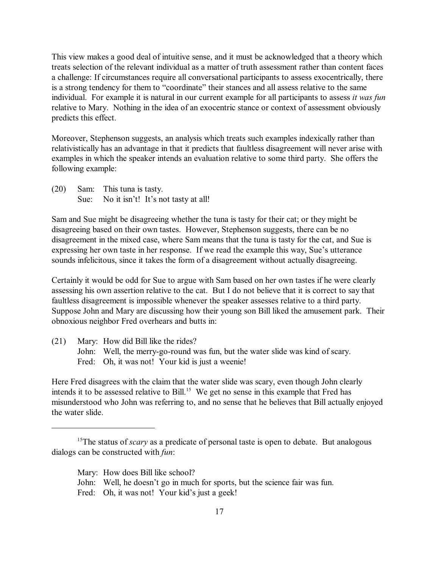This view makes a good deal of intuitive sense, and it must be acknowledged that a theory which treats selection of the relevant individual as a matter of truth assessment rather than content faces a challenge: If circumstances require all conversational participants to assess exocentrically, there is a strong tendency for them to "coordinate" their stances and all assess relative to the same individual. For example it is natural in our current example for all participants to assess *it was fun* relative to Mary. Nothing in the idea of an exocentric stance or context of assessment obviously predicts this effect.

Moreover, Stephenson suggests, an analysis which treats such examples indexically rather than relativistically has an advantage in that it predicts that faultless disagreement will never arise with examples in which the speaker intends an evaluation relative to some third party. She offers the following example:

(20) Sam: This tuna is tasty. Sue: No it isn't! It's not tasty at all!

Sam and Sue might be disagreeing whether the tuna is tasty for their cat; or they might be disagreeing based on their own tastes. However, Stephenson suggests, there can be no disagreement in the mixed case, where Sam means that the tuna is tasty for the cat, and Sue is expressing her own taste in her response. If we read the example this way, Sue's utterance sounds infelicitous, since it takes the form of a disagreement without actually disagreeing.

Certainly it would be odd for Sue to argue with Sam based on her own tastes if he were clearly assessing his own assertion relative to the cat. But I do not believe that it is correct to say that faultless disagreement is impossible whenever the speaker assesses relative to a third party. Suppose John and Mary are discussing how their young son Bill liked the amusement park. Their obnoxious neighbor Fred overhears and butts in:

(21) Mary: How did Bill like the rides? John: Well, the merry-go-round was fun, but the water slide was kind of scary. Fred: Oh, it was not! Your kid is just a weenie!

Here Fred disagrees with the claim that the water slide was scary, even though John clearly intends it to be assessed relative to Bill.<sup>15</sup> We get no sense in this example that Fred has misunderstood who John was referring to, and no sense that he believes that Bill actually enjoyed the water slide.

<sup>&</sup>lt;sup>15</sup>The status of *scary* as a predicate of personal taste is open to debate. But analogous dialogs can be constructed with *fun*:

Mary: How does Bill like school?

John: Well, he doesn't go in much for sports, but the science fair was fun.

Fred: Oh, it was not! Your kid's just a geek!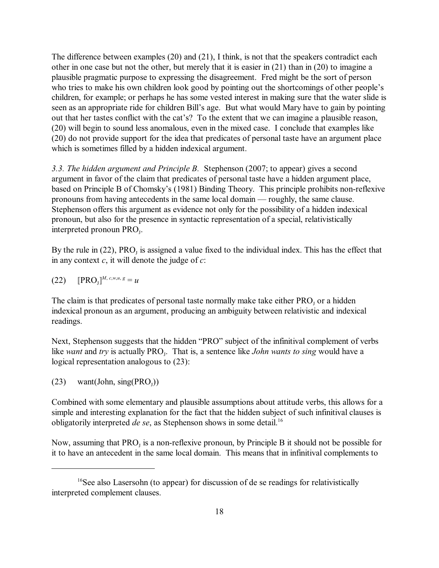The difference between examples (20) and (21), I think, is not that the speakers contradict each other in one case but not the other, but merely that it is easier in (21) than in (20) to imagine a plausible pragmatic purpose to expressing the disagreement. Fred might be the sort of person who tries to make his own children look good by pointing out the shortcomings of other people's children, for example; or perhaps he has some vested interest in making sure that the water slide is seen as an appropriate ride for children Bill's age. But what would Mary have to gain by pointing out that her tastes conflict with the cat's? To the extent that we can imagine a plausible reason, (20) will begin to sound less anomalous, even in the mixed case. I conclude that examples like (20) do not provide support for the idea that predicates of personal taste have an argument place which is sometimes filled by a hidden indexical argument.

*3.3. The hidden argument and Principle B.* Stephenson (2007; to appear) gives a second argument in favor of the claim that predicates of personal taste have a hidden argument place, based on Principle B of Chomsky's (1981) Binding Theory. This principle prohibits non-reflexive pronouns from having antecedents in the same local domain — roughly, the same clause. Stephenson offers this argument as evidence not only for the possibility of a hidden indexical pronoun, but also for the presence in syntactic representation of a special, relativistically interpreted pronoun PRO<sub>J</sub>.

By the rule in (22),  $PRO<sub>J</sub>$  is assigned a value fixed to the individual index. This has the effect that in any context *c*, it will denote the judge of *c*:

$$
(22) \qquad [\n\mathbf{PRO}_{\mathrm{J}}]^{\mathcal{M}, c, w, u, g} = u
$$

The claim is that predicates of personal taste normally make take either  $PRO<sub>J</sub>$  or a hidden indexical pronoun as an argument, producing an ambiguity between relativistic and indexical readings.

Next, Stephenson suggests that the hidden "PRO" subject of the infinitival complement of verbs like *want* and *try* is actually PRO<sub>1</sub>. That is, a sentence like *John wants to sing* would have a logical representation analogous to (23):

 $(23)$  want(John, sing(PRO<sub>J</sub>))

Combined with some elementary and plausible assumptions about attitude verbs, this allows for a simple and interesting explanation for the fact that the hidden subject of such infinitival clauses is obligatorily interpreted *de se*, as Stephenson shows in some detail.<sup>16</sup>

Now, assuming that PRO<sub>J</sub> is a non-reflexive pronoun, by Principle B it should not be possible for it to have an antecedent in the same local domain. This means that in infinitival complements to

 $16$ See also Lasersohn (to appear) for discussion of de se readings for relativistically interpreted complement clauses.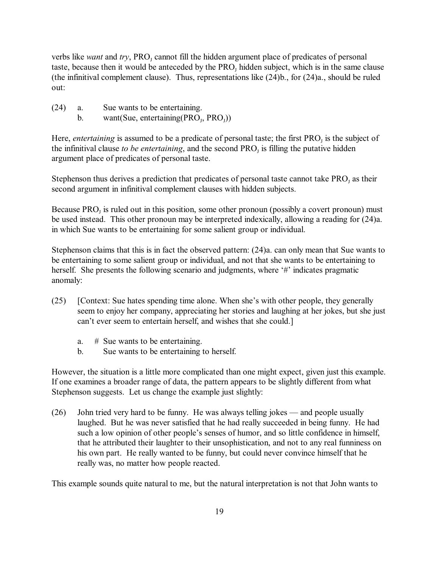verbs like *want* and *try*, PRO<sub>J</sub> cannot fill the hidden argument place of predicates of personal taste, because then it would be anteceded by the  $PRO<sub>J</sub>$  hidden subject, which is in the same clause (the infinitival complement clause). Thus, representations like (24)b., for (24)a., should be ruled out:

- (24) a. Sue wants to be entertaining.
	- b. want(Sue, entertaining( $PRO<sub>1</sub>$ ,  $PRO<sub>1</sub>$ ))

Here, *entertaining* is assumed to be a predicate of personal taste; the first PRO<sub>J</sub> is the subject of the infinitival clause *to be entertaining*, and the second PRO<sub>J</sub> is filling the putative hidden argument place of predicates of personal taste.

Stephenson thus derives a prediction that predicates of personal taste cannot take  $PRO<sub>J</sub>$  as their second argument in infinitival complement clauses with hidden subjects.

Because  $PRO<sub>j</sub>$  is ruled out in this position, some other pronoun (possibly a covert pronoun) must be used instead. This other pronoun may be interpreted indexically, allowing a reading for (24)a. in which Sue wants to be entertaining for some salient group or individual.

Stephenson claims that this is in fact the observed pattern: (24)a. can only mean that Sue wants to be entertaining to some salient group or individual, and not that she wants to be entertaining to herself. She presents the following scenario and judgments, where '#' indicates pragmatic anomaly:

- (25) [Context: Sue hates spending time alone. When she's with other people, they generally seem to enjoy her company, appreciating her stories and laughing at her jokes, but she just can't ever seem to entertain herself, and wishes that she could.]
	- a. # Sue wants to be entertaining.
	- b. Sue wants to be entertaining to herself.

However, the situation is a little more complicated than one might expect, given just this example. If one examines a broader range of data, the pattern appears to be slightly different from what Stephenson suggests. Let us change the example just slightly:

(26) John tried very hard to be funny. He was always telling jokes — and people usually laughed. But he was never satisfied that he had really succeeded in being funny. He had such a low opinion of other people's senses of humor, and so little confidence in himself, that he attributed their laughter to their unsophistication, and not to any real funniness on his own part. He really wanted to be funny, but could never convince himself that he really was, no matter how people reacted.

This example sounds quite natural to me, but the natural interpretation is not that John wants to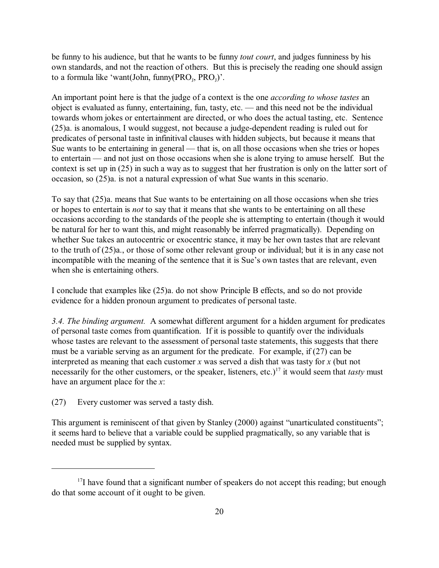be funny to his audience, but that he wants to be funny *tout court*, and judges funniness by his own standards, and not the reaction of others. But this is precisely the reading one should assign to a formula like 'want(John, funny(PRO, PRO $_1$ )'.

An important point here is that the judge of a context is the one *according to whose tastes* an object is evaluated as funny, entertaining, fun, tasty, etc. — and this need not be the individual towards whom jokes or entertainment are directed, or who does the actual tasting, etc. Sentence (25)a. is anomalous, I would suggest, not because a judge-dependent reading is ruled out for predicates of personal taste in infinitival clauses with hidden subjects, but because it means that Sue wants to be entertaining in general — that is, on all those occasions when she tries or hopes to entertain — and not just on those occasions when she is alone trying to amuse herself. But the context is set up in (25) in such a way as to suggest that her frustration is only on the latter sort of occasion, so (25)a. is not a natural expression of what Sue wants in this scenario.

To say that (25)a. means that Sue wants to be entertaining on all those occasions when she tries or hopes to entertain is *not* to say that it means that she wants to be entertaining on all these occasions according to the standards of the people she is attempting to entertain (though it would be natural for her to want this, and might reasonably be inferred pragmatically). Depending on whether Sue takes an autocentric or exocentric stance, it may be her own tastes that are relevant to the truth of (25)a., or those of some other relevant group or individual; but it is in any case not incompatible with the meaning of the sentence that it is Sue's own tastes that are relevant, even when she is entertaining others.

I conclude that examples like (25)a. do not show Principle B effects, and so do not provide evidence for a hidden pronoun argument to predicates of personal taste.

*3.4. The binding argument.* A somewhat different argument for a hidden argument for predicates of personal taste comes from quantification. If it is possible to quantify over the individuals whose tastes are relevant to the assessment of personal taste statements, this suggests that there must be a variable serving as an argument for the predicate. For example, if (27) can be interpreted as meaning that each customer *x* was served a dish that was tasty for *x* (but not necessarily for the other customers, or the speaker, listeners, etc.)<sup>17</sup> it would seem that *tasty* must have an argument place for the *x*:

(27) Every customer was served a tasty dish.

This argument is reminiscent of that given by Stanley (2000) against "unarticulated constituents"; it seems hard to believe that a variable could be supplied pragmatically, so any variable that is needed must be supplied by syntax.

 $17$  have found that a significant number of speakers do not accept this reading; but enough do that some account of it ought to be given.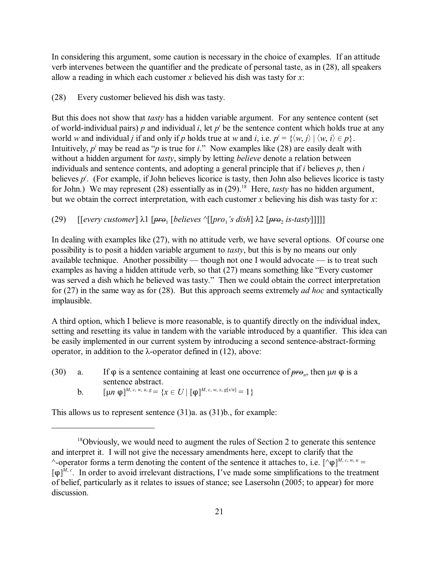In considering this argument, some caution is necessary in the choice of examples. If an attitude verb intervenes between the quantifier and the predicate of personal taste, as in (28), all speakers allow a reading in which each customer *x* believed his dish was tasty for *x*:

(28) Every customer believed his dish was tasty.

But this does not show that *tasty* has a hidden variable argument. For any sentence content (set of world-individual pairs) *p* and individual *i*, let  $p<sup>i</sup>$  be the sentence content which holds true at any world *w* and individual *j* if and only if *p* holds true at *w* and *i*, i.e.  $p^i = \{ \langle w, j \rangle \mid \langle w, i \rangle \in p \}$ . Intuitively,  $p^i$  may be read as "*p* is true for *i*." Now examples like (28) are easily dealt with without a hidden argument for *tasty*, simply by letting *believe* denote a relation between individuals and sentence contents, and adopting a general principle that if  $i$  believes  $p$ , then  $i$ believes  $p^i$ . (For example, if John believes licorice is tasty, then John also believes licorice is tasty for John.) We may represent (28) essentially as in (29).<sup>18</sup> Here, *tasty* has no hidden argument, but we obtain the correct interpretation, with each customer *x* believing his dish was tasty for *x*:

(29)  $\left[$  [*every customer*]  $\lambda$ 1 [ $pr\theta$ <sub>1</sub> [*believes*  $\wedge$  [*pro*<sub>1</sub> 's dish]  $\lambda$ 2 [ $pr\theta$ <sub>2</sub> is-tasty]]]]]

In dealing with examples like (27), with no attitude verb, we have several options. Of course one possibility is to posit a hidden variable argument to *tasty*, but this is by no means our only available technique. Another possibility — though not one I would advocate — is to treat such examples as having a hidden attitude verb, so that (27) means something like "Every customer was served a dish which he believed was tasty." Then we could obtain the correct interpretation for (27) in the same way as for (28). But this approach seems extremely *ad hoc* and syntactically implausible.

A third option, which I believe is more reasonable, is to quantify directly on the individual index, setting and resetting its value in tandem with the variable introduced by a quantifier. This idea can be easily implemented in our current system by introducing a second sentence-abstract-forming operator, in addition to the  $\lambda$ -operator defined in (12), above:

| (30) | If $\varphi$ is a sentence containing at least one occurrence of $\theta P^2$ , then $\mu n \varphi$ is a |
|------|-----------------------------------------------------------------------------------------------------------|
|      | sentence abstract.                                                                                        |

**b**.  $[\![ \mu n \varphi \!]^{M, c, w, u, g} = \{x \in U \mid [\![ \varphi \!]^{M, c, w, x, g[x/n]} = 1\}$ 

This allows us to represent sentence (31)a. as (31)b., for example:

 $^{18}$ Obviously, we would need to augment the rules of Section 2 to generate this sentence and interpret it. I will not give the necessary amendments here, except to clarify that the  $\sim$ -operator forms a term denoting the content of the sentence it attaches to, i.e.  $\lbrack \! \lbrack^{\infty}\! \rbrack^{M, c, w, u}$  =  $\phi \phi^{M, c}$ . In order to avoid irrelevant distractions, I've made some simplifications to the treatment of belief, particularly as it relates to issues of stance; see Lasersohn (2005; to appear) for more discussion.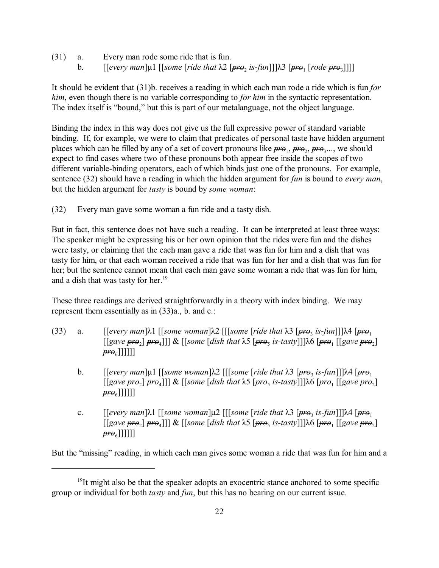- (31) a. Every man rode some ride that is fun.
	- b.  $\qquad \qquad [[every man] \mu 1 \; [[some [ride that λ2 [pre<sub>2</sub> is-fun]]] λ3 [pre<sub>1</sub> [rode pre<sub>3</sub>]]]]$

It should be evident that (31)b. receives a reading in which each man rode a ride which is fun *for him*, even though there is no variable corresponding to *for him* in the syntactic representation. The index itself is "bound," but this is part of our metalanguage, not the object language.

Binding the index in this way does not give us the full expressive power of standard variable binding. If, for example, we were to claim that predicates of personal taste have hidden argument places which can be filled by any of a set of covert pronouns like  $\mu_{\theta_1}, \mu_{\theta_2}, \mu_{\theta_3}$ , we should expect to find cases where two of these pronouns both appear free inside the scopes of two different variable-binding operators, each of which binds just one of the pronouns. For example, sentence (32) should have a reading in which the hidden argument for *fun* is bound to *every man*, but the hidden argument for *tasty* is bound by *some woman*:

(32) Every man gave some woman a fun ride and a tasty dish.

But in fact, this sentence does not have such a reading. It can be interpreted at least three ways: The speaker might be expressing his or her own opinion that the rides were fun and the dishes were tasty, or claiming that the each man gave a ride that was fun for him and a dish that was tasty for him, or that each woman received a ride that was fun for her and a dish that was fun for her; but the sentence cannot mean that each man gave some woman a ride that was fun for him, and a dish that was tasty for her.<sup>19</sup>

These three readings are derived straightforwardly in a theory with index binding. We may represent them essentially as in (33)a., b. and c.:

- $(33)$  a. [[*every man*] $\lambda$ 1 [[*some woman*] $\lambda$ 2 [[[*some* [*ride that*  $\lambda$ 3 [ $pro$ <sub>3</sub> *is-fun*]]] $\lambda$ 4 [ $pro$ <sub>1</sub> 2 4 5 1 2 [[*gave pro* ] *pro* ]]] & [[*some* [*dish that* ë5 [*pro is-tasty*]]]ë6 [*pro* [[*gave pro* ] *pro*<sup>6</sup> ]]]]]]
	- b.  $\left[ \left[ \text{[even]} \ln \left( \frac{\sinh(\theta)}{\sinh(\theta)} \right) \right] \right]$   $\left[ \text{[some]} \ln(\theta) \right]$   $\left[ \text{[odd]} \ln(\theta) \right]$ 2 4 5 1 2 [[*gave pro* ] *pro* ]]] & [[*some* [*dish that* ë5 [*pro is-tasty*]]]ë6 [*pro* [[*gave pro* ] *pro*<sup>6</sup> ]]]]]]
	- c.  $\left[ \left[ \text{every man} \right] \lambda \right] \left[ \left[ \text{some woman} \right] \mu \right] \left[ \left[ \text{some fixed that } \lambda \right] \left[ \text{pre}, \text{is-fun} \right] \right] \right] \lambda \left[ \text{pre} \right]$ 2 4 5 1 2 [[*gave pro* ] *pro* ]]] & [[*some* [*dish that* ë5 [*pro is-tasty*]]]ë6 [*pro* [[*gave pro* ] *pro*<sup>6</sup> ]]]]]]

But the "missing" reading, in which each man gives some woman a ride that was fun for him and a

 $19$ It might also be that the speaker adopts an exocentric stance anchored to some specific group or individual for both *tasty* and *fun*, but this has no bearing on our current issue.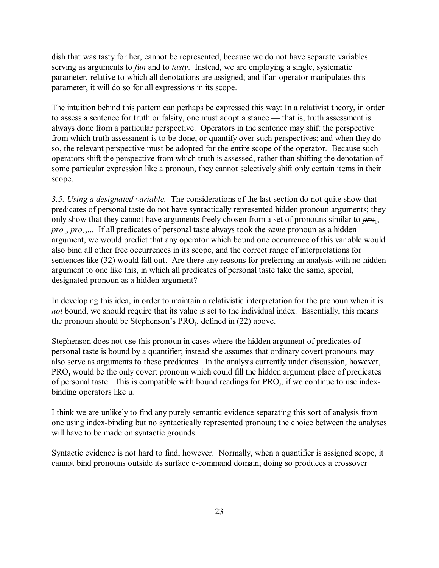dish that was tasty for her, cannot be represented, because we do not have separate variables serving as arguments to *fun* and to *tasty*. Instead, we are employing a single, systematic parameter, relative to which all denotations are assigned; and if an operator manipulates this parameter, it will do so for all expressions in its scope.

The intuition behind this pattern can perhaps be expressed this way: In a relativist theory, in order to assess a sentence for truth or falsity, one must adopt a stance — that is, truth assessment is always done from a particular perspective. Operators in the sentence may shift the perspective from which truth assessment is to be done, or quantify over such perspectives; and when they do so, the relevant perspective must be adopted for the entire scope of the operator. Because such operators shift the perspective from which truth is assessed, rather than shifting the denotation of some particular expression like a pronoun, they cannot selectively shift only certain items in their scope.

*3.5. Using a designated variable.* The considerations of the last section do not quite show that predicates of personal taste do not have syntactically represented hidden pronoun arguments; they only show that they cannot have arguments freely chosen from a set of pronouns similar to  $p r \omega_1$ , *pro*<sub>2</sub>, *pro*<sub>3</sub>,... If all predicates of personal taste always took the *same* pronoun as a hidden argument, we would predict that any operator which bound one occurrence of this variable would also bind all other free occurrences in its scope, and the correct range of interpretations for sentences like (32) would fall out. Are there any reasons for preferring an analysis with no hidden argument to one like this, in which all predicates of personal taste take the same, special, designated pronoun as a hidden argument?

In developing this idea, in order to maintain a relativistic interpretation for the pronoun when it is *not* bound, we should require that its value is set to the individual index. Essentially, this means the pronoun should be Stephenson's PRO<sub>1</sub>, defined in (22) above.

Stephenson does not use this pronoun in cases where the hidden argument of predicates of personal taste is bound by a quantifier; instead she assumes that ordinary covert pronouns may also serve as arguments to these predicates. In the analysis currently under discussion, however,  $PRO<sub>J</sub>$  would be the only covert pronoun which could fill the hidden argument place of predicates of personal taste. This is compatible with bound readings for  $PRO<sub>j</sub>$ , if we continue to use indexbinding operators like  $\mu$ .

I think we are unlikely to find any purely semantic evidence separating this sort of analysis from one using index-binding but no syntactically represented pronoun; the choice between the analyses will have to be made on syntactic grounds.

Syntactic evidence is not hard to find, however. Normally, when a quantifier is assigned scope, it cannot bind pronouns outside its surface c-command domain; doing so produces a crossover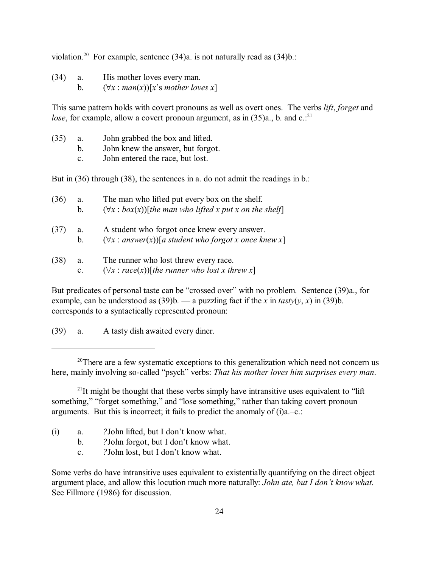violation.<sup>20</sup> For example, sentence  $(34)a$ . is not naturally read as  $(34)b$ .:

(34) a. His mother loves every man. b.  $(\forall x : man(x))[x's mother loves x]$ 

This same pattern holds with covert pronouns as well as overt ones. The verbs *lift*, *forget* and *lose*, for example, allow a covert pronoun argument, as in  $(35)a$ , b. and c.:<sup>21</sup>

- (35) a. John grabbed the box and lifted.
	- b. John knew the answer, but forgot.
	- c. John entered the race, but lost.

But in (36) through (38), the sentences in a. do not admit the readings in b.:

| (36) | a.<br>b.             | The man who lifted put every box on the shelf.<br>$(\forall x : box(x))$ [the man who lifted x put x on the shelf] |
|------|----------------------|--------------------------------------------------------------------------------------------------------------------|
| (37) | a.<br>b.             | A student who forgot once knew every answer.<br>$(\forall x : answer(x))$ [a student who forgot x once knew x]     |
| (38) | a.<br>$\mathbf{c}$ . | The runner who lost threw every race.<br>$(\forall x : race(x))$ [the runner who lost x threw x]                   |

But predicates of personal taste can be "crossed over" with no problem. Sentence (39)a., for example, can be understood as  $(39)b$ . — a puzzling fact if the *x* in *tasty*(*y*, *x*) in (39)b. corresponds to a syntactically represented pronoun:

(39) a. A tasty dish awaited every diner.

 $2<sup>1</sup>$ It might be thought that these verbs simply have intransitive uses equivalent to "lift" something," "forget something," and "lose something," rather than taking covert pronoun arguments. But this is incorrect; it fails to predict the anomaly of (i)a.–c.:

- (i) a. *?*John lifted, but I don't know what.
	- b. *?*John forgot, but I don't know what.
	- c. *?*John lost, but I don't know what.

Some verbs do have intransitive uses equivalent to existentially quantifying on the direct object argument place, and allow this locution much more naturally: *John ate, but I don't know what*. See Fillmore (1986) for discussion.

 $20$ <sup>20</sup>There are a few systematic exceptions to this generalization which need not concern us here, mainly involving so-called "psych" verbs: *That his mother loves him surprises every man*.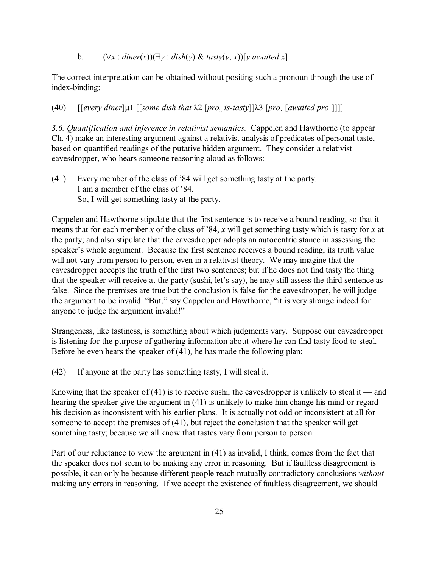b.  $(\forall x : diner(x))(\exists y : dish(y) \& \text{task}(y, x))$ [y awaited x]

The correct interpretation can be obtained without positing such a pronoun through the use of index-binding:

 $(40)$  [[every diner]µ1 [[some dish that  $\lambda$ 2 [ $pr\Theta_2$  is-tasty]] $\lambda$ 3 [ $pr\Theta_3$  [awaited  $pr\Theta_1$ ]]]]

*3.6. Quantification and inference in relativist semantics.* Cappelen and Hawthorne (to appear Ch. 4) make an interesting argument against a relativist analysis of predicates of personal taste, based on quantified readings of the putative hidden argument. They consider a relativist eavesdropper, who hears someone reasoning aloud as follows:

(41) Every member of the class of '84 will get something tasty at the party. I am a member of the class of '84. So, I will get something tasty at the party.

Cappelen and Hawthorne stipulate that the first sentence is to receive a bound reading, so that it means that for each member *x* of the class of '84, *x* will get something tasty which is tasty for *x* at the party; and also stipulate that the eavesdropper adopts an autocentric stance in assessing the speaker's whole argument. Because the first sentence receives a bound reading, its truth value will not vary from person to person, even in a relativist theory. We may imagine that the eavesdropper accepts the truth of the first two sentences; but if he does not find tasty the thing that the speaker will receive at the party (sushi, let's say), he may still assess the third sentence as false. Since the premises are true but the conclusion is false for the eavesdropper, he will judge the argument to be invalid. "But," say Cappelen and Hawthorne, "it is very strange indeed for anyone to judge the argument invalid!"

Strangeness, like tastiness, is something about which judgments vary. Suppose our eavesdropper is listening for the purpose of gathering information about where he can find tasty food to steal. Before he even hears the speaker of  $(41)$ , he has made the following plan:

(42) If anyone at the party has something tasty, I will steal it.

Knowing that the speaker of  $(41)$  is to receive sushi, the eavesdropper is unlikely to steal it — and hearing the speaker give the argument in (41) is unlikely to make him change his mind or regard his decision as inconsistent with his earlier plans. It is actually not odd or inconsistent at all for someone to accept the premises of (41), but reject the conclusion that the speaker will get something tasty; because we all know that tastes vary from person to person.

Part of our reluctance to view the argument in (41) as invalid, I think, comes from the fact that the speaker does not seem to be making any error in reasoning. But if faultless disagreement is possible, it can only be because different people reach mutually contradictory conclusions *without* making any errors in reasoning. If we accept the existence of faultless disagreement, we should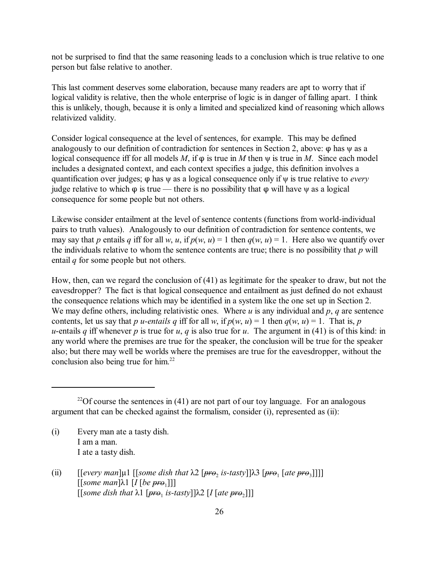not be surprised to find that the same reasoning leads to a conclusion which is true relative to one person but false relative to another.

This last comment deserves some elaboration, because many readers are apt to worry that if logical validity is relative, then the whole enterprise of logic is in danger of falling apart. I think this is unlikely, though, because it is only a limited and specialized kind of reasoning which allows relativized validity.

Consider logical consequence at the level of sentences, for example. This may be defined analogously to our definition of contradiction for sentences in Section 2, above:  $\varphi$  has  $\psi$  as a logical consequence iff for all models *M*, if  $\varphi$  is true in *M* then  $\psi$  is true in *M*. Since each model includes a designated context, and each context specifies a judge, this definition involves a quantification over judges;  $\varphi$  has  $\psi$  as a logical consequence only if  $\psi$  is true relative to *every* judge relative to which  $\varphi$  is true — there is no possibility that  $\varphi$  will have  $\psi$  as a logical consequence for some people but not others.

Likewise consider entailment at the level of sentence contents (functions from world-individual pairs to truth values). Analogously to our definition of contradiction for sentence contents, we may say that *p* entails *q* iff for all *w*, *u*, if  $p(w, u) = 1$  then  $q(w, u) = 1$ . Here also we quantify over the individuals relative to whom the sentence contents are true; there is no possibility that *p* will entail *q* for some people but not others.

How, then, can we regard the conclusion of (41) as legitimate for the speaker to draw, but not the eavesdropper? The fact is that logical consequence and entailment as just defined do not exhaust the consequence relations which may be identified in a system like the one set up in Section 2. We may define others, including relativistic ones. Where *u* is any individual and *p*, *q* are sentence contents, let us say that *p u-entails q* iff for all *w*, if  $p(w, u) = 1$  then  $q(w, u) = 1$ . That is, *p u*-entails *q* iff whenever *p* is true for *u*, *q* is also true for *u*. The argument in (41) is of this kind: in any world where the premises are true for the speaker, the conclusion will be true for the speaker also; but there may well be worlds where the premises are true for the eavesdropper, without the conclusion also being true for him.<sup>22</sup>

(i) Every man ate a tasty dish. I am a man. I ate a tasty dish.

<sup>&</sup>lt;sup>22</sup>Of course the sentences in (41) are not part of our toy language. For an analogous argument that can be checked against the formalism, consider (i), represented as (ii):

<sup>(</sup>ii)  $[[every man] \mu1 [[some dish that \lambda2 [pre_2 is -tasky]] \lambda3 [pre_1 [ate pre_3]]]]$ [[*some man*]λ1 [*I* [*be <del>pro</del><sub>1</sub>]]]*  $\left[ \left[ \text{Some dish that } \lambda \right] \left[ \text{pre}_1 \text{ is-} \text{task} \right] \right] \lambda \geq \left[ \text{I} \left[ \text{ate pre}_2 \right] \right]$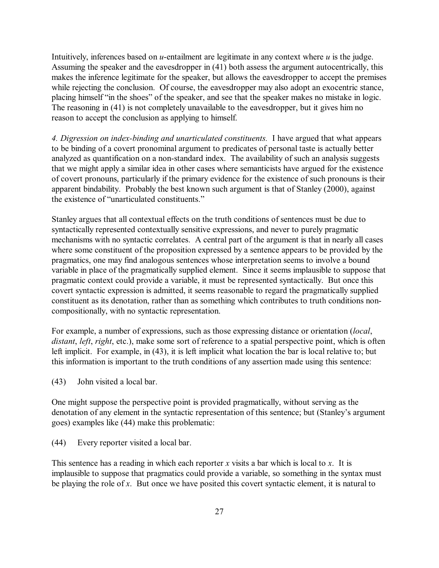Intuitively, inferences based on *u*-entailment are legitimate in any context where *u* is the judge. Assuming the speaker and the eavesdropper in (41) both assess the argument autocentrically, this makes the inference legitimate for the speaker, but allows the eavesdropper to accept the premises while rejecting the conclusion. Of course, the eavesdropper may also adopt an exocentric stance, placing himself "in the shoes" of the speaker, and see that the speaker makes no mistake in logic. The reasoning in (41) is not completely unavailable to the eavesdropper, but it gives him no reason to accept the conclusion as applying to himself.

*4. Digression on index-binding and unarticulated constituents.* I have argued that what appears to be binding of a covert pronominal argument to predicates of personal taste is actually better analyzed as quantification on a non-standard index. The availability of such an analysis suggests that we might apply a similar idea in other cases where semanticists have argued for the existence of covert pronouns, particularly if the primary evidence for the existence of such pronouns is their apparent bindability. Probably the best known such argument is that of Stanley (2000), against the existence of "unarticulated constituents."

Stanley argues that all contextual effects on the truth conditions of sentences must be due to syntactically represented contextually sensitive expressions, and never to purely pragmatic mechanisms with no syntactic correlates. A central part of the argument is that in nearly all cases where some constituent of the proposition expressed by a sentence appears to be provided by the pragmatics, one may find analogous sentences whose interpretation seems to involve a bound variable in place of the pragmatically supplied element. Since it seems implausible to suppose that pragmatic context could provide a variable, it must be represented syntactically. But once this covert syntactic expression is admitted, it seems reasonable to regard the pragmatically supplied constituent as its denotation, rather than as something which contributes to truth conditions noncompositionally, with no syntactic representation.

For example, a number of expressions, such as those expressing distance or orientation (*local*, *distant*, *left*, *right*, etc.), make some sort of reference to a spatial perspective point, which is often left implicit. For example, in (43), it is left implicit what location the bar is local relative to; but this information is important to the truth conditions of any assertion made using this sentence:

(43) John visited a local bar.

One might suppose the perspective point is provided pragmatically, without serving as the denotation of any element in the syntactic representation of this sentence; but (Stanley's argument goes) examples like (44) make this problematic:

(44) Every reporter visited a local bar.

This sentence has a reading in which each reporter *x* visits a bar which is local to *x*. It is implausible to suppose that pragmatics could provide a variable, so something in the syntax must be playing the role of *x*. But once we have posited this covert syntactic element, it is natural to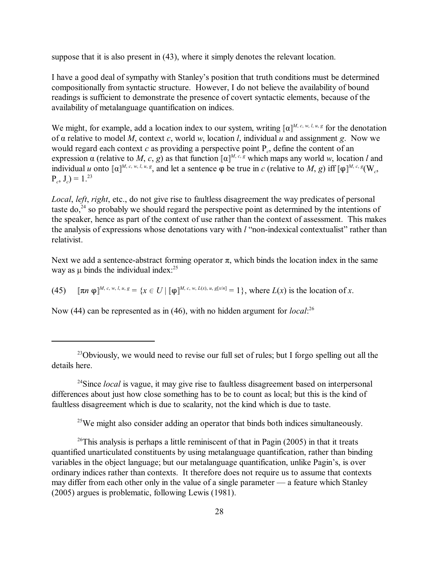suppose that it is also present in (43), where it simply denotes the relevant location.

I have a good deal of sympathy with Stanley's position that truth conditions must be determined compositionally from syntactic structure. However, I do not believe the availability of bound readings is sufficient to demonstrate the presence of covert syntactic elements, because of the availability of metalanguage quantification on indices.

We might, for example, add a location index to our system, writing  $\lbrack \alpha \rbrack^{M,c,w,l,u,g}$  for the denotation of á relative to model *M*, context *c*, world *w*, location *l*, individual *u* and assignment *g*. Now we would regard each context  $c$  as providing a perspective point  $P_c$ , define the content of an expression  $\alpha$  (relative to *M*, *c*, *g*) as that function  $\alpha^{M, c, g}$  which maps any world *w*, location *l* and individual *u* onto  $[\![\alpha]\!]^{M, c, w, l, u, g}$ , and let a sentence  $\varphi$  be true in *c* (relative to *M*, *g*) iff  $[\![\varphi]\!]^{M, c, g}(W_c,$  $P_c$ ,  $J_c$ ) = 1.<sup>23</sup>

*Local*, *left*, *right*, etc., do not give rise to faultless disagreement the way predicates of personal taste do,<sup>24</sup> so probably we should regard the perspective point as determined by the intentions of the speaker, hence as part of the context of use rather than the context of assessment. This makes the analysis of expressions whose denotations vary with *l* "non-indexical contextualist" rather than relativist.

Next we add a sentence-abstract forming operator  $\pi$ , which binds the location index in the same way as  $\mu$  binds the individual index:<sup>25</sup>

 $(45)$   $[\pi n \varphi]^{M, c, w, l, u, g} = \{x \in U \mid [\varphi]^{M, c, w, L(x), u, g[x/n]} = 1\},\$  where  $L(x)$  is the location of x.

Now (44) can be represented as in (46), with no hidden argument for *local*: 26

 $25$ We might also consider adding an operator that binds both indices simultaneously.

 $^{23}$ Obviously, we would need to revise our full set of rules; but I forgo spelling out all the details here.

<sup>&</sup>lt;sup>24</sup>Since *local* is vague, it may give rise to faultless disagreement based on interpersonal differences about just how close something has to be to count as local; but this is the kind of faultless disagreement which is due to scalarity, not the kind which is due to taste.

<sup>&</sup>lt;sup>26</sup>This analysis is perhaps a little reminiscent of that in Pagin (2005) in that it treats quantified unarticulated constituents by using metalanguage quantification, rather than binding variables in the object language; but our metalanguage quantification, unlike Pagin's, is over ordinary indices rather than contexts. It therefore does not require us to assume that contexts may differ from each other only in the value of a single parameter — a feature which Stanley (2005) argues is problematic, following Lewis (1981).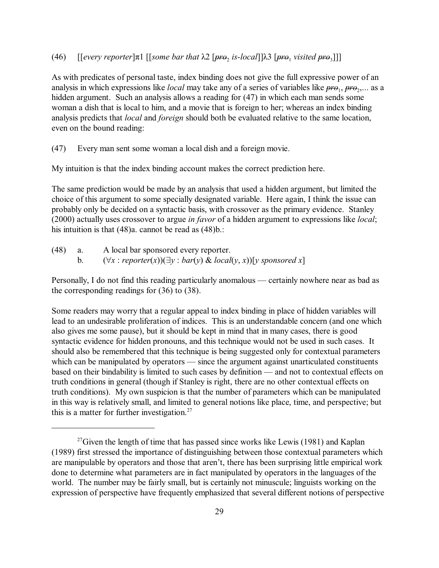## (46) [[*every reporter*]π1 [[some bar that λ2 [*pro*<sub>2</sub> is-local]]λ3 [*pro*<sub>1</sub> visited *pro*<sub>3</sub>]]]

As with predicates of personal taste, index binding does not give the full expressive power of an analysis in which expressions like *local* may take any of a series of variables like  $\mu_0$ ,  $\mu_0$ ,... as a hidden argument. Such an analysis allows a reading for (47) in which each man sends some woman a dish that is local to him, and a movie that is foreign to her; whereas an index binding analysis predicts that *local* and *foreign* should both be evaluated relative to the same location, even on the bound reading:

(47) Every man sent some woman a local dish and a foreign movie.

My intuition is that the index binding account makes the correct prediction here.

The same prediction would be made by an analysis that used a hidden argument, but limited the choice of this argument to some specially designated variable. Here again, I think the issue can probably only be decided on a syntactic basis, with crossover as the primary evidence. Stanley (2000) actually uses crossover to argue *in favor* of a hidden argument to expressions like *local*; his intuition is that (48)a. cannot be read as (48)b.:

(48) a. A local bar sponsored every reporter. b.  $(\forall x : reporter(x))(\exists y : bar(y) \& local(y, x))[y : ponsored x]$ 

Personally, I do not find this reading particularly anomalous — certainly nowhere near as bad as the corresponding readings for (36) to (38).

Some readers may worry that a regular appeal to index binding in place of hidden variables will lead to an undesirable proliferation of indices. This is an understandable concern (and one which also gives me some pause), but it should be kept in mind that in many cases, there is good syntactic evidence for hidden pronouns, and this technique would not be used in such cases. It should also be remembered that this technique is being suggested only for contextual parameters which can be manipulated by operators — since the argument against unarticulated constituents based on their bindability is limited to such cases by definition — and not to contextual effects on truth conditions in general (though if Stanley is right, there are no other contextual effects on truth conditions). My own suspicion is that the number of parameters which can be manipulated in this way is relatively small, and limited to general notions like place, time, and perspective; but this is a matter for further investigation. $27$ 

 $^{27}$ Given the length of time that has passed since works like Lewis (1981) and Kaplan (1989) first stressed the importance of distinguishing between those contextual parameters which are manipulable by operators and those that aren't, there has been surprising little empirical work done to determine what parameters are in fact manipulated by operators in the languages of the world. The number may be fairly small, but is certainly not minuscule; linguists working on the expression of perspective have frequently emphasized that several different notions of perspective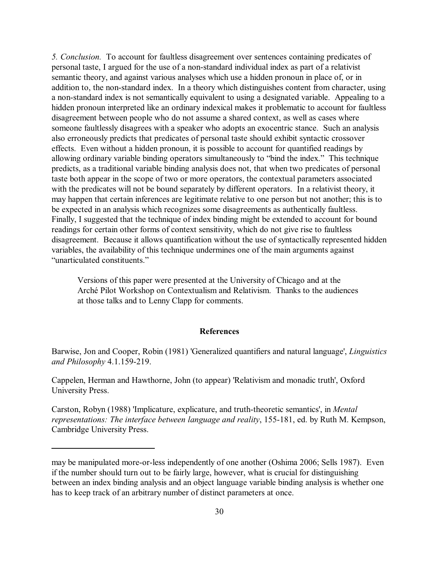*5. Conclusion.* To account for faultless disagreement over sentences containing predicates of personal taste, I argued for the use of a non-standard individual index as part of a relativist semantic theory, and against various analyses which use a hidden pronoun in place of, or in addition to, the non-standard index. In a theory which distinguishes content from character, using a non-standard index is not semantically equivalent to using a designated variable. Appealing to a hidden pronoun interpreted like an ordinary indexical makes it problematic to account for faultless disagreement between people who do not assume a shared context, as well as cases where someone faultlessly disagrees with a speaker who adopts an exocentric stance. Such an analysis also erroneously predicts that predicates of personal taste should exhibit syntactic crossover effects. Even without a hidden pronoun, it is possible to account for quantified readings by allowing ordinary variable binding operators simultaneously to "bind the index." This technique predicts, as a traditional variable binding analysis does not, that when two predicates of personal taste both appear in the scope of two or more operators, the contextual parameters associated with the predicates will not be bound separately by different operators. In a relativist theory, it may happen that certain inferences are legitimate relative to one person but not another; this is to be expected in an analysis which recognizes some disagreements as authentically faultless. Finally, I suggested that the technique of index binding might be extended to account for bound readings for certain other forms of context sensitivity, which do not give rise to faultless disagreement. Because it allows quantification without the use of syntactically represented hidden variables, the availability of this technique undermines one of the main arguments against "unarticulated constituents."

Versions of this paper were presented at the University of Chicago and at the Arché Pilot Workshop on Contextualism and Relativism. Thanks to the audiences at those talks and to Lenny Clapp for comments.

## **References**

Barwise, Jon and Cooper, Robin (1981) 'Generalized quantifiers and natural language', *Linguistics and Philosophy* 4.1.159-219.

Cappelen, Herman and Hawthorne, John (to appear) 'Relativism and monadic truth', Oxford University Press.

Carston, Robyn (1988) 'Implicature, explicature, and truth-theoretic semantics', in *Mental representations: The interface between language and reality*, 155-181, ed. by Ruth M. Kempson, Cambridge University Press.

may be manipulated more-or-less independently of one another (Oshima 2006; Sells 1987). Even if the number should turn out to be fairly large, however, what is crucial for distinguishing between an index binding analysis and an object language variable binding analysis is whether one has to keep track of an arbitrary number of distinct parameters at once.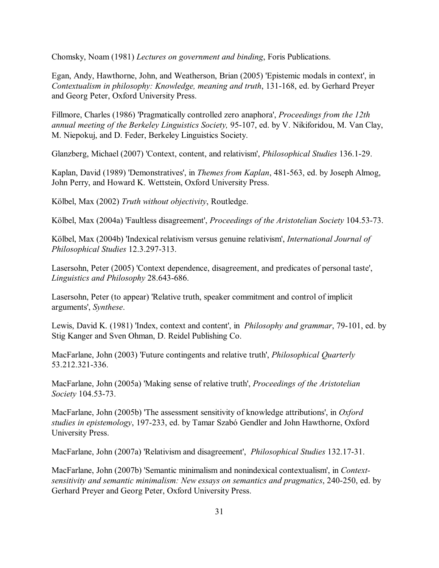Chomsky, Noam (1981) *Lectures on government and binding*, Foris Publications.

Egan, Andy, Hawthorne, John, and Weatherson, Brian (2005) 'Epistemic modals in context', in *Contextualism in philosophy: Knowledge, meaning and truth*, 131-168, ed. by Gerhard Preyer and Georg Peter, Oxford University Press.

Fillmore, Charles (1986) 'Pragmatically controlled zero anaphora', *Proceedings from the 12th annual meeting of the Berkeley Linguistics Society,* 95-107, ed. by V. Nikiforidou, M. Van Clay, M. Niepokuj, and D. Feder, Berkeley Linguistics Society.

Glanzberg, Michael (2007) 'Context, content, and relativism', *Philosophical Studies* 136.1-29.

Kaplan, David (1989) 'Demonstratives', in *Themes from Kaplan*, 481-563, ed. by Joseph Almog, John Perry, and Howard K. Wettstein, Oxford University Press.

Kölbel, Max (2002) *Truth without objectivity*, Routledge.

Kölbel, Max (2004a) 'Faultless disagreement', *Proceedings of the Aristotelian Society* 104.53-73.

Kölbel, Max (2004b) 'Indexical relativism versus genuine relativism', *International Journal of Philosophical Studies* 12.3.297-313.

Lasersohn, Peter (2005) 'Context dependence, disagreement, and predicates of personal taste', *Linguistics and Philosophy* 28.643-686.

Lasersohn, Peter (to appear) 'Relative truth, speaker commitment and control of implicit arguments', *Synthese*.

Lewis, David K. (1981) 'Index, context and content', in *Philosophy and grammar*, 79-101, ed. by Stig Kanger and Sven Ohman, D. Reidel Publishing Co.

MacFarlane, John (2003) 'Future contingents and relative truth', *Philosophical Quarterly* 53.212.321-336.

MacFarlane, John (2005a) 'Making sense of relative truth', *Proceedings of the Aristotelian Society* 104.53-73.

MacFarlane, John (2005b) 'The assessment sensitivity of knowledge attributions', in *Oxford studies in epistemology*, 197-233, ed. by Tamar Szabó Gendler and John Hawthorne, Oxford University Press.

MacFarlane, John (2007a) 'Relativism and disagreement', *Philosophical Studies* 132.17-31.

MacFarlane, John (2007b) 'Semantic minimalism and nonindexical contextualism', in *Contextsensitivity and semantic minimalism: New essays on semantics and pragmatics*, 240-250, ed. by Gerhard Preyer and Georg Peter, Oxford University Press.